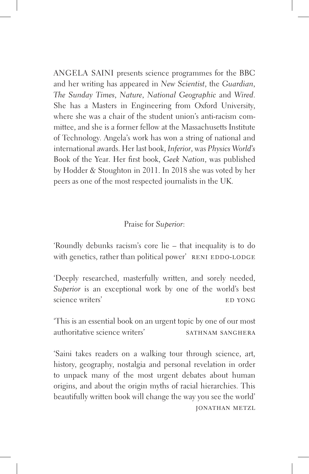ANGELA SAINI presents science programmes for the BBC and her writing has appeared in *New Scientist*, the *Guardian*, *The Sunday Times*, *Nature*, *National Geographic* and *Wired*. She has a Masters in Engineering from Oxford University, where she was a chair of the student union's anti-racism committee, and she is a former fellow at the Massachusetts Institute of Technology. Angela's work has won a string of national and international awards. Her last book, *Inferior*, was *Physics World's*  Book of the Year. Her first book, *Geek Nation*, was published by Hodder & Stoughton in 2011. In 2018 she was voted by her peers as one of the most respected journalists in the UK.

Praise for *Superior*:

'Roundly debunks racism's core lie – that inequality is to do with genetics, rather than political power' RENI EDDO-LODGE

'Deeply researched, masterfully written, and sorely needed, *Superior* is an exceptional work by one of the world's best science writers' ED YONG

'This is an essential book on an urgent topic by one of our most authoritative science writers' SATHNAM SANGHERA

'Saini takes readers on a walking tour through science, art, history, geography, nostalgia and personal revelation in order to unpack many of the most urgent debates about human origins, and about the origin myths of racial hierarchies. This beautifully written book will change the way you see the world' Jonathan Metzl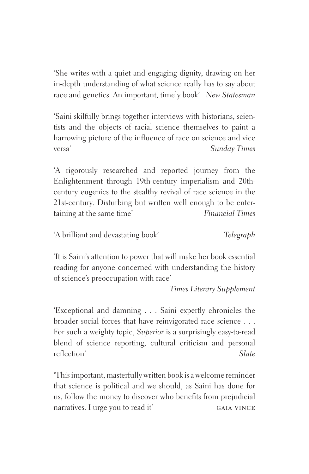'She writes with a quiet and engaging dignity, drawing on her in-depth understanding of what science really has to say about race and genetics. An important, timely book' *New Statesman* 

'Saini skilfully brings together interviews with historians, scientists and the objects of racial science themselves to paint a harrowing picture of the influence of race on science and vice versa' *Sunday Times*

'A rigorously researched and reported journey from the Enlightenment through 19th-century imperialism and 20thcentury eugenics to the stealthy revival of race science in the 21st-century. Disturbing but written well enough to be entertaining at the same time' *Financial Times* 

| 'A brilliant and devastating book' | Telegraph |
|------------------------------------|-----------|
|                                    |           |

'It is Saini's attention to power that will make her book essential reading for anyone concerned with understanding the history of science's preoccupation with race'

*Times Literary Supplement*

'Exceptional and damning . . . Saini expertly chronicles the broader social forces that have reinvigorated race science . . . For such a weighty topic, *Superior* is a surprisingly easy-to-read blend of science reporting, cultural criticism and personal reflection' *Slate* 

'This important, masterfully written book is a welcome reminder that science is political and we should, as Saini has done for us, follow the money to discover who benefits from prejudicial narratives. I urge you to read it' GAIA VINCE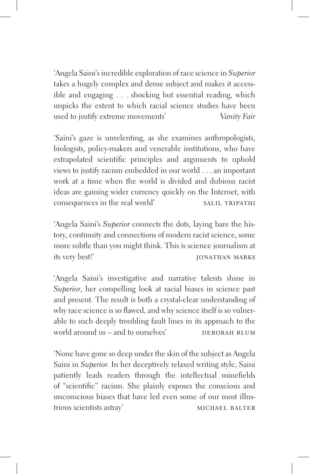'Angela Saini's incredible exploration of race science in *Superior* takes a hugely complex and dense subject and makes it accessible and engaging . . . shocking but essential reading, which unpicks the extent to which racial science studies have been used to justify extreme movements' *Vanity Fair*

'Saini's gaze is unrelenting, as she examines anthropologists, biologists, policy-makers and venerable institutions, who have extrapolated scientific principles and arguments to uphold views to justify racism embedded in our world . . . an important work at a time when the world is divided and dubious racist ideas are gaining wider currency quickly on the Internet, with consequences in the real world' SALIL TRIPATHI

'Angela Saini's *Superior* connects the dots, laying bare the history, continuity and connections of modern racist science, some more subtle than you might think. This is science journalism at its very best!' Jonathan Marks

'Angela Saini's investigative and narrative talents shine in *Superior*, her compelling look at racial biases in science past and present. The result is both a crystal-clear understanding of why race science is so flawed, and why science itself is so vulnerable to such deeply troubling fault lines in its approach to the world around us  $-$  and to ourselves' DEBORAH BLUM

'None have gone so deep under the skin of the subject as Angela Saini in *Superior.* In her deceptively relaxed writing style, Saini patiently leads readers through the intellectual minefields of "scientific" racism. She plainly exposes the conscious and unconscious biases that have led even some of our most illustrious scientists astray' MICHAEL BALTER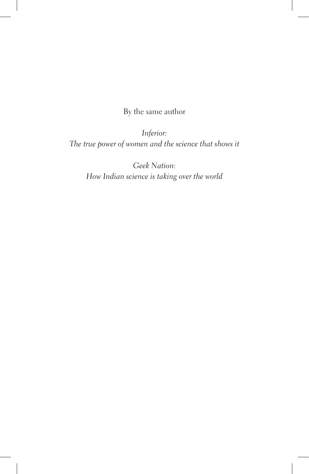By the same author

*Inferior: The true power of women and the science that shows it*

*Geek Nation: How Indian science is taking over the world*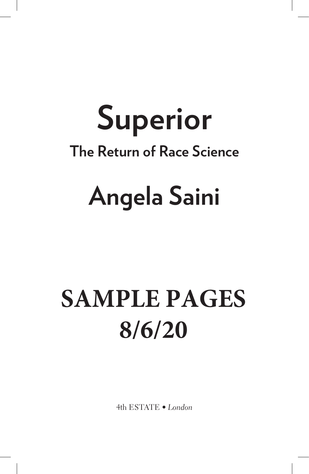## **Superior The Return of Race Science**

# **Angela Saini**

## **SAMPLE PAGES 8/6/20**

4th ESTATE • *London*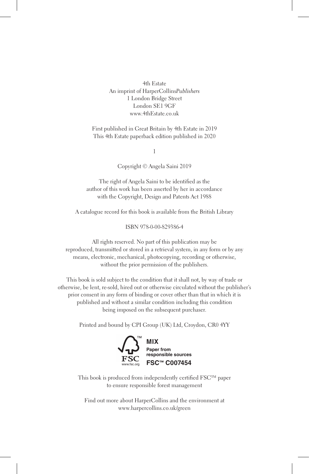4th Estate An imprint of HarperCollins*Publishers* 1 London Bridge Street London SE1 9GF www.4thEstate.co.uk

First published in Great Britain by 4th Estate in 2019 This 4th Estate paperback edition published in 2020

1

Copyright © Angela Saini 2019

The right of Angela Saini to be identified as the author of this work has been asserted by her in accordance with the Copyright, Design and Patents Act 1988

A catalogue record for this book is available from the British Library

ISBN 978-0-00-829386-4

All rights reserved. No part of this publication may be reproduced, transmitted or stored in a retrieval system, in any form or by any means, electronic, mechanical, photocopying, recording or otherwise, without the prior permission of the publishers.

This book is sold subject to the condition that it shall not, by way of trade or otherwise, be lent, re-sold, hired out or otherwise circulated without the publisher's prior consent in any form of binding or cover other than that in which it is published and without a similar condition including this condition being imposed on the subsequent purchaser.

Printed and bound by CPI Group (UK) Ltd, Croydon, CR0 4YY



This book is produced from independently certified FSC™ paper to ensure responsible forest management

Find out more about HarperCollins and the environment at www.harpercollins.co.uk/green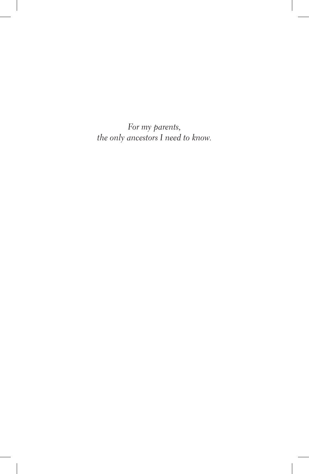*For my parents, the only ancestors I need to know.*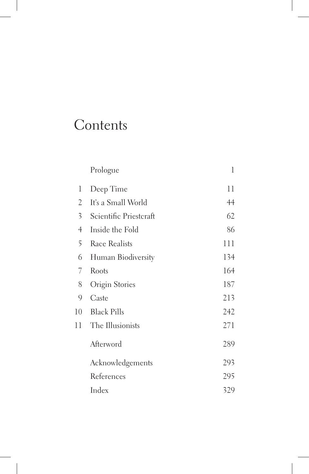### **Contents**

|                 | Prologue               | 1   |
|-----------------|------------------------|-----|
| 1               | Deep Time              | 11  |
| 2               | It's a Small World     | 44  |
| $\overline{3}$  | Scientific Priestcraft | 62  |
| 4               | Inside the Fold        | 86  |
| 5               | <b>Race Realists</b>   | 111 |
| 6               | Human Biodiversity     | 134 |
| 7               | Roots                  | 164 |
| 8               | Origin Stories         | 187 |
| 9               | Caste                  | 213 |
| 10 <sup>°</sup> | <b>Black Pills</b>     | 242 |
| 11              | The Illusionists       | 271 |
|                 | Afterword              | 289 |
|                 | Acknowledgements       | 293 |
|                 | References             | 295 |
|                 | Index                  | 329 |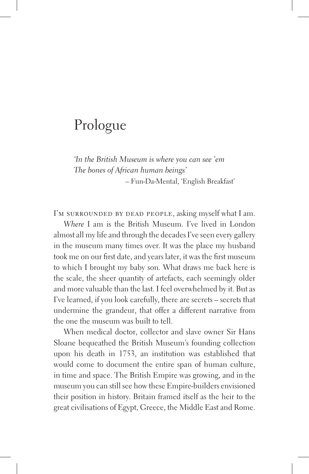### Prologue

*'In the British Museum is where you can see 'em The bones of African human beings'* – Fun-Da-Mental, 'English Breakfast'

I'm surrounded by dead people, asking myself what I am.

*Where* I am is the British Museum. I've lived in London almost all my life and through the decades I've seen every gallery in the museum many times over. It was the place my husband took me on our first date, and years later, it was the first museum to which I brought my baby son. What draws me back here is the scale, the sheer quantity of artefacts, each seemingly older and more valuable than the last. I feel overwhelmed by it. But as I've learned, if you look carefully, there are secrets – secrets that undermine the grandeur, that offer a different narrative from the one the museum was built to tell.

When medical doctor, collector and slave owner Sir Hans Sloane bequeathed the British Museum's founding collection upon his death in 1753, an institution was established that would come to document the entire span of human culture, in time and space. The British Empire was growing, and in the museum you can still see how these Empire-builders envisioned their position in history. Britain framed itself as the heir to the great civilisations of Egypt, Greece, the Middle East and Rome.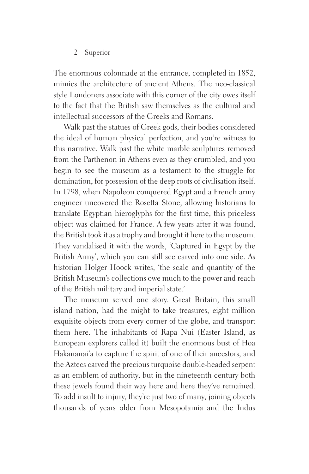The enormous colonnade at the entrance, completed in 1852, mimics the architecture of ancient Athens. The neo-classical style Londoners associate with this corner of the city owes itself to the fact that the British saw themselves as the cultural and intellectual successors of the Greeks and Romans.

Walk past the statues of Greek gods, their bodies considered the ideal of human physical perfection, and you're witness to this narrative. Walk past the white marble sculptures removed from the Parthenon in Athens even as they crumbled, and you begin to see the museum as a testament to the struggle for domination, for possession of the deep roots of civilisation itself. In 1798, when Napoleon conquered Egypt and a French army engineer uncovered the Rosetta Stone, allowing historians to translate Egyptian hieroglyphs for the first time, this priceless object was claimed for France. A few years after it was found, the British took it as a trophy and brought it here to the museum. They vandalised it with the words, 'Captured in Egypt by the British Army', which you can still see carved into one side. As historian Holger Hoock writes, 'the scale and quantity of the British Museum's collections owe much to the power and reach of the British military and imperial state.'

The museum served one story. Great Britain, this small island nation, had the might to take treasures, eight million exquisite objects from every corner of the globe, and transport them here. The inhabitants of Rapa Nui (Easter Island, as European explorers called it) built the enormous bust of Hoa Hakananai'a to capture the spirit of one of their ancestors, and the Aztecs carved the precious turquoise double-headed serpent as an emblem of authority, but in the nineteenth century both these jewels found their way here and here they've remained. To add insult to injury, they're just two of many, joining objects thousands of years older from Mesopotamia and the Indus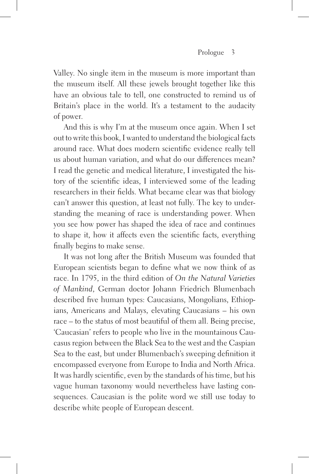Valley. No single item in the museum is more important than the museum itself. All these jewels brought together like this have an obvious tale to tell, one constructed to remind us of Britain's place in the world. It's a testament to the audacity of power.

And this is why I'm at the museum once again. When I set out to write this book, I wanted to understand the biological facts around race. What does modern scientific evidence really tell us about human variation, and what do our differences mean? I read the genetic and medical literature, I investigated the history of the scientific ideas, I interviewed some of the leading researchers in their fields. What became clear was that biology can't answer this question, at least not fully. The key to understanding the meaning of race is understanding power. When you see how power has shaped the idea of race and continues to shape it, how it affects even the scientific facts, everything finally begins to make sense.

It was not long after the British Museum was founded that European scientists began to define what we now think of as race. In 1795, in the third edition of *On the Natural Varieties of Mankind*, German doctor Johann Friedrich Blumenbach described five human types: Caucasians, Mongolians, Ethiopians, Americans and Malays, elevating Caucasians – his own race – to the status of most beautiful of them all. Being precise, 'Caucasian' refers to people who live in the mountainous Caucasus region between the Black Sea to the west and the Caspian Sea to the east, but under Blumenbach's sweeping definition it encompassed everyone from Europe to India and North Africa. It was hardly scientific, even by the standards of his time, but his vague human taxonomy would nevertheless have lasting consequences. Caucasian is the polite word we still use today to describe white people of European descent.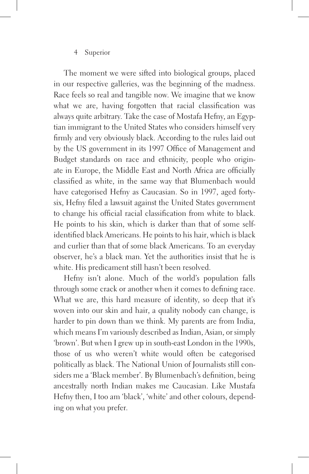The moment we were sifted into biological groups, placed in our respective galleries, was the beginning of the madness. Race feels so real and tangible now. We imagine that we know what we are, having forgotten that racial classification was always quite arbitrary. Take the case of Mostafa Hefny, an Egyptian immigrant to the United States who considers himself very firmly and very obviously black. According to the rules laid out by the US government in its 1997 Office of Management and Budget standards on race and ethnicity, people who originate in Europe, the Middle East and North Africa are officially classified as white, in the same way that Blumenbach would have categorised Hefny as Caucasian. So in 1997, aged fortysix, Hefny filed a lawsuit against the United States government to change his official racial classification from white to black. He points to his skin, which is darker than that of some selfidentified black Americans. He points to his hair, which is black and curlier than that of some black Americans. To an everyday observer, he's a black man. Yet the authorities insist that he is white. His predicament still hasn't been resolved.

Hefny isn't alone. Much of the world's population falls through some crack or another when it comes to defining race. What we are, this hard measure of identity, so deep that it's woven into our skin and hair, a quality nobody can change, is harder to pin down than we think. My parents are from India, which means I'm variously described as Indian, Asian, or simply 'brown'. But when I grew up in south-east London in the 1990s, those of us who weren't white would often be categorised politically as black. The National Union of Journalists still considers me a 'Black member'. By Blumenbach's definition, being ancestrally north Indian makes me Caucasian. Like Mustafa Hefny then, I too am 'black', 'white' and other colours, depending on what you prefer.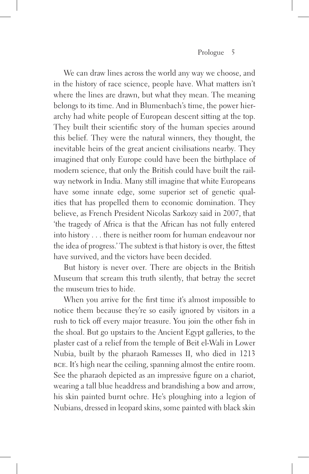#### Prologue 5

We can draw lines across the world any way we choose, and in the history of race science, people have. What matters isn't where the lines are drawn, but what they mean. The meaning belongs to its time. And in Blumenbach's time, the power hierarchy had white people of European descent sitting at the top. They built their scientific story of the human species around this belief. They were the natural winners, they thought, the inevitable heirs of the great ancient civilisations nearby. They imagined that only Europe could have been the birthplace of modern science, that only the British could have built the railway network in India. Many still imagine that white Europeans have some innate edge, some superior set of genetic qualities that has propelled them to economic domination. They believe, as French President Nicolas Sarkozy said in 2007, that 'the tragedy of Africa is that the African has not fully entered into history . . . there is neither room for human endeavour nor the idea of progress.' The subtext is that history is over, the fittest have survived, and the victors have been decided.

But history is never over. There are objects in the British Museum that scream this truth silently, that betray the secret the museum tries to hide.

When you arrive for the first time it's almost impossible to notice them because they're so easily ignored by visitors in a rush to tick off every major treasure. You join the other fish in the shoal. But go upstairs to the Ancient Egypt galleries, to the plaster cast of a relief from the temple of Beit el-Wali in Lower Nubia, built by the pharaoh Ramesses II, who died in 1213 bce. It's high near the ceiling, spanning almost the entire room. See the pharaoh depicted as an impressive figure on a chariot, wearing a tall blue headdress and brandishing a bow and arrow, his skin painted burnt ochre. He's ploughing into a legion of Nubians, dressed in leopard skins, some painted with black skin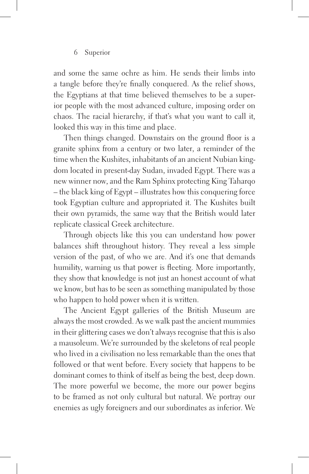and some the same ochre as him. He sends their limbs into a tangle before they're finally conquered. As the relief shows, the Egyptians at that time believed themselves to be a superior people with the most advanced culture, imposing order on chaos. The racial hierarchy, if that's what you want to call it, looked this way in this time and place.

Then things changed. Downstairs on the ground floor is a granite sphinx from a century or two later, a reminder of the time when the Kushites, inhabitants of an ancient Nubian kingdom located in present-day Sudan, invaded Egypt. There was a new winner now, and the Ram Sphinx protecting King Taharqo – the black king of Egypt – illustrates how this conquering force took Egyptian culture and appropriated it. The Kushites built their own pyramids, the same way that the British would later replicate classical Greek architecture.

Through objects like this you can understand how power balances shift throughout history. They reveal a less simple version of the past, of who we are. And it's one that demands humility, warning us that power is fleeting. More importantly, they show that knowledge is not just an honest account of what we know, but has to be seen as something manipulated by those who happen to hold power when it is written.

The Ancient Egypt galleries of the British Museum are always the most crowded. As we walk past the ancient mummies in their glittering cases we don't always recognise that this is also a mausoleum. We're surrounded by the skeletons of real people who lived in a civilisation no less remarkable than the ones that followed or that went before. Every society that happens to be dominant comes to think of itself as being the best, deep down. The more powerful we become, the more our power begins to be framed as not only cultural but natural. We portray our enemies as ugly foreigners and our subordinates as inferior. We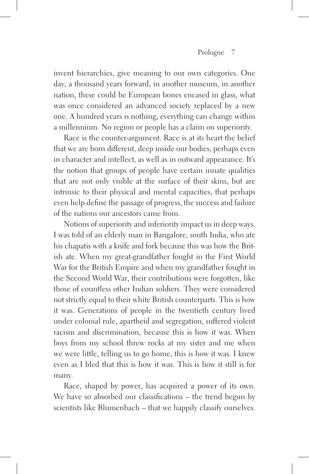#### Prologue 7

invent hierarchies, give meaning to our own categories. One day, a thousand years forward, in another museum, in another nation, these could be European bones encased in glass, what was once considered an advanced society replaced by a new one. A hundred years is nothing; everything can change within a millennium. No region or people has a claim on superiority.

Race is the counter-argument. Race is at its heart the belief that we are born different, deep inside our bodies, perhaps even in character and intellect, as well as in outward appearance. It's the notion that groups of people have certain innate qualities that are not only visible at the surface of their skins, but are intrinsic to their physical and mental capacities, that perhaps even help define the passage of progress, the success and failure of the nations our ancestors came from.

Notions of superiority and inferiority impact us in deep ways. I was told of an elderly man in Bangalore, south India, who ate his chapatis with a knife and fork because this was how the British ate. When my great-grandfather fought in the First World War for the British Empire and when my grandfather fought in the Second World War, their contributions were forgotten, like those of countless other Indian soldiers. They were considered not strictly equal to their white British counterparts. This is how it was. Generations of people in the twentieth century lived under colonial rule, apartheid and segregation, suffered violent racism and discrimination, because this is how it was. When boys from my school threw rocks at my sister and me when we were little, telling us to go home, this is how it was. I knew even as I bled that this is how it was. This is how it still is for many.

Race, shaped by power, has acquired a power of its own. We have so absorbed our classifications – the trend begun by scientists like Blumenbach – that we happily classify ourselves.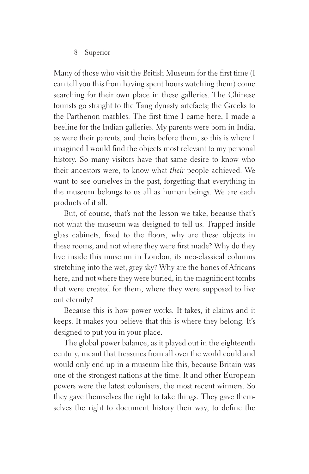Many of those who visit the British Museum for the first time (I can tell you this from having spent hours watching them) come searching for their own place in these galleries. The Chinese tourists go straight to the Tang dynasty artefacts; the Greeks to the Parthenon marbles. The first time I came here, I made a beeline for the Indian galleries. My parents were born in India, as were their parents, and theirs before them, so this is where I imagined I would find the objects most relevant to my personal history. So many visitors have that same desire to know who their ancestors were, to know what *their* people achieved. We want to see ourselves in the past, forgetting that everything in the museum belongs to us all as human beings. We are each products of it all.

But, of course, that's not the lesson we take, because that's not what the museum was designed to tell us. Trapped inside glass cabinets, fixed to the floors, why are these objects in these rooms, and not where they were first made? Why do they live inside this museum in London, its neo-classical columns stretching into the wet, grey sky? Why are the bones of Africans here, and not where they were buried, in the magnificent tombs that were created for them, where they were supposed to live out eternity?

Because this is how power works. It takes, it claims and it keeps. It makes you believe that this is where they belong. It's designed to put you in your place.

The global power balance, as it played out in the eighteenth century, meant that treasures from all over the world could and would only end up in a museum like this, because Britain was one of the strongest nations at the time. It and other European powers were the latest colonisers, the most recent winners. So they gave themselves the right to take things. They gave themselves the right to document history their way, to define the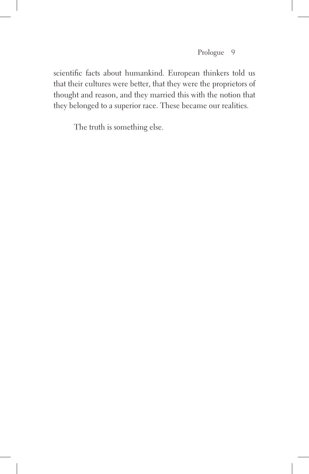Prologue 9

scientific facts about humankind. European thinkers told us that their cultures were better, that they were the proprietors of thought and reason, and they married this with the notion that they belonged to a superior race. These became our realities.

The truth is something else.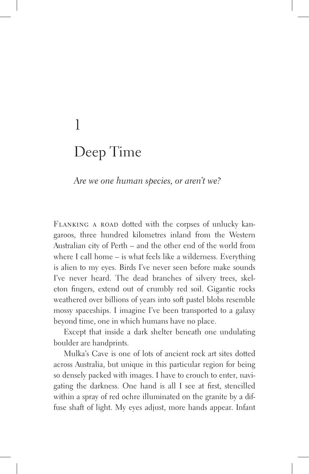## 1 Deep Time

*Are we one human species, or aren't we?*

FLANKING A ROAD dotted with the corpses of unlucky kangaroos, three hundred kilometres inland from the Western Australian city of Perth – and the other end of the world from where I call home – is what feels like a wilderness. Everything is alien to my eyes. Birds I've never seen before make sounds I've never heard. The dead branches of silvery trees, skeleton fingers, extend out of crumbly red soil. Gigantic rocks weathered over billions of years into soft pastel blobs resemble mossy spaceships. I imagine I've been transported to a galaxy beyond time, one in which humans have no place.

Except that inside a dark shelter beneath one undulating boulder are handprints.

Mulka's Cave is one of lots of ancient rock art sites dotted across Australia, but unique in this particular region for being so densely packed with images. I have to crouch to enter, navigating the darkness. One hand is all I see at first, stencilled within a spray of red ochre illuminated on the granite by a diffuse shaft of light. My eyes adjust, more hands appear. Infant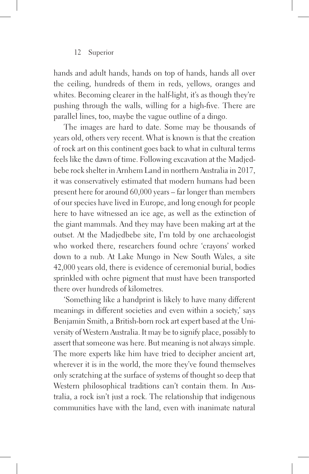hands and adult hands, hands on top of hands, hands all over the ceiling, hundreds of them in reds, yellows, oranges and whites. Becoming clearer in the half-light, it's as though they're pushing through the walls, willing for a high-five. There are parallel lines, too, maybe the vague outline of a dingo.

The images are hard to date. Some may be thousands of years old, others very recent. What is known is that the creation of rock art on this continent goes back to what in cultural terms feels like the dawn of time. Following excavation at the Madjedbebe rock shelter in Arnhem Land in northern Australia in 2017, it was conservatively estimated that modern humans had been present here for around 60,000 years – far longer than members of our species have lived in Europe, and long enough for people here to have witnessed an ice age, as well as the extinction of the giant mammals. And they may have been making art at the outset. At the Madjedbebe site, I'm told by one archaeologist who worked there, researchers found ochre 'crayons' worked down to a nub. At Lake Mungo in New South Wales, a site 42,000 years old, there is evidence of ceremonial burial, bodies sprinkled with ochre pigment that must have been transported there over hundreds of kilometres.

'Something like a handprint is likely to have many different meanings in different societies and even within a society,' says Benjamin Smith, a British-born rock art expert based at the University of Western Australia. It may be to signify place, possibly to assert that someone was here. But meaning is not always simple. The more experts like him have tried to decipher ancient art, wherever it is in the world, the more they've found themselves only scratching at the surface of systems of thought so deep that Western philosophical traditions can't contain them. In Australia, a rock isn't just a rock. The relationship that indigenous communities have with the land, even with inanimate natural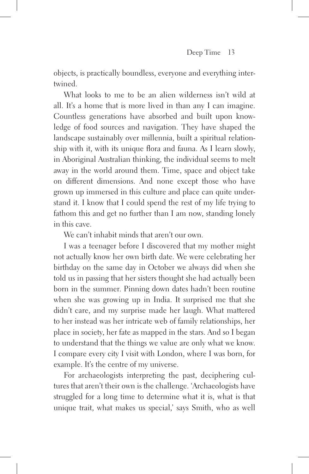objects, is practically boundless, everyone and everything intertwined.

What looks to me to be an alien wilderness isn't wild at all. It's a home that is more lived in than any I can imagine. Countless generations have absorbed and built upon knowledge of food sources and navigation. They have shaped the landscape sustainably over millennia, built a spiritual relationship with it, with its unique flora and fauna. As I learn slowly, in Aboriginal Australian thinking, the individual seems to melt away in the world around them. Time, space and object take on different dimensions. And none except those who have grown up immersed in this culture and place can quite understand it. I know that I could spend the rest of my life trying to fathom this and get no further than I am now, standing lonely in this cave.

We can't inhabit minds that aren't our own.

I was a teenager before I discovered that my mother might not actually know her own birth date. We were celebrating her birthday on the same day in October we always did when she told us in passing that her sisters thought she had actually been born in the summer. Pinning down dates hadn't been routine when she was growing up in India. It surprised me that she didn't care, and my surprise made her laugh. What mattered to her instead was her intricate web of family relationships, her place in society, her fate as mapped in the stars. And so I began to understand that the things we value are only what we know. I compare every city I visit with London, where I was born, for example. It's the centre of my universe.

For archaeologists interpreting the past, deciphering cultures that aren't their own is the challenge. 'Archaeologists have struggled for a long time to determine what it is, what is that unique trait, what makes us special,' says Smith, who as well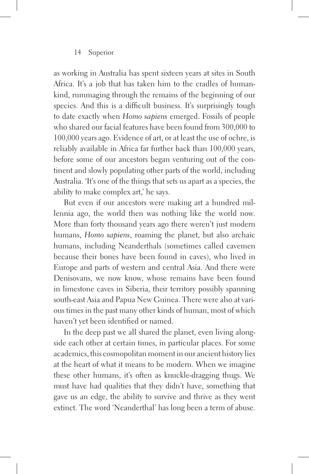as working in Australia has spent sixteen years at sites in South Africa. It's a job that has taken him to the cradles of humankind, rummaging through the remains of the beginning of our species. And this is a difficult business. It's surprisingly tough to date exactly when *Homo sapiens* emerged. Fossils of people who shared our facial features have been found from 300,000 to 100,000 years ago. Evidence of art, or at least the use of ochre, is reliably available in Africa far further back than 100,000 years, before some of our ancestors began venturing out of the continent and slowly populating other parts of the world, including Australia. 'It's one of the things that sets us apart as a species, the ability to make complex art,' he says.

But even if our ancestors were making art a hundred millennia ago, the world then was nothing like the world now. More than forty thousand years ago there weren't just modern humans, *Homo sapiens*, roaming the planet, but also archaic humans, including Neanderthals (sometimes called cavemen because their bones have been found in caves), who lived in Europe and parts of western and central Asia. And there were Denisovans, we now know, whose remains have been found in limestone caves in Siberia, their territory possibly spanning south-east Asia and Papua New Guinea. There were also at various times in the past many other kinds of human, most of which haven't yet been identified or named.

In the deep past we all shared the planet, even living alongside each other at certain times, in particular places. For some academics, this cosmopolitan moment in our ancient history lies at the heart of what it means to be modern. When we imagine these other humans, it's often as knuckle-dragging thugs. We must have had qualities that they didn't have, something that gave us an edge, the ability to survive and thrive as they went extinct. The word 'Neanderthal' has long been a term of abuse.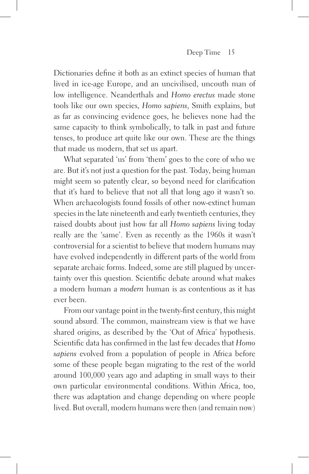Dictionaries define it both as an extinct species of human that lived in ice-age Europe, and an uncivilised, uncouth man of low intelligence. Neanderthals and *Homo erectus* made stone tools like our own species, *Homo sapiens*, Smith explains, but as far as convincing evidence goes, he believes none had the same capacity to think symbolically, to talk in past and future tenses, to produce art quite like our own. These are the things that made us modern, that set us apart.

What separated 'us' from 'them' goes to the core of who we are. But it's not just a question for the past. Today, being human might seem so patently clear, so beyond need for clarification that it's hard to believe that not all that long ago it wasn't so. When archaeologists found fossils of other now-extinct human species in the late nineteenth and early twentieth centuries, they raised doubts about just how far all *Homo sapiens* living today really are the 'same'. Even as recently as the 1960s it wasn't controversial for a scientist to believe that modern humans may have evolved independently in different parts of the world from separate archaic forms. Indeed, some are still plagued by uncertainty over this question. Scientific debate around what makes a modern human a *modern* human is as contentious as it has ever been.

From our vantage point in the twenty-first century, this might sound absurd. The common, mainstream view is that we have shared origins, as described by the 'Out of Africa' hypothesis. Scientific data has confirmed in the last few decades that *Homo sapiens* evolved from a population of people in Africa before some of these people began migrating to the rest of the world around 100,000 years ago and adapting in small ways to their own particular environmental conditions. Within Africa, too, there was adaptation and change depending on where people lived. But overall, modern humans were then (and remain now)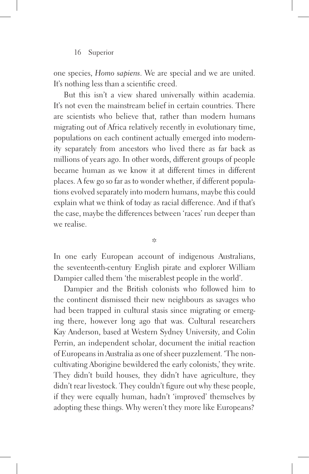one species, *Homo sapiens*. We are special and we are united. It's nothing less than a scientific creed.

But this isn't a view shared universally within academia. It's not even the mainstream belief in certain countries. There are scientists who believe that, rather than modern humans migrating out of Africa relatively recently in evolutionary time, populations on each continent actually emerged into modernity separately from ancestors who lived there as far back as millions of years ago. In other words, different groups of people became human as we know it at different times in different places. A few go so far as to wonder whether, if different populations evolved separately into modern humans, maybe this could explain what we think of today as racial difference. And if that's the case, maybe the differences between 'races' run deeper than we realise.

\*

In one early European account of indigenous Australians, the seventeenth-century English pirate and explorer William Dampier called them 'the miserablest people in the world'.

Dampier and the British colonists who followed him to the continent dismissed their new neighbours as savages who had been trapped in cultural stasis since migrating or emerging there, however long ago that was. Cultural researchers Kay Anderson, based at Western Sydney University, and Colin Perrin, an independent scholar, document the initial reaction of Europeans in Australia as one of sheer puzzlement. 'The noncultivating Aborigine bewildered the early colonists,' they write. They didn't build houses, they didn't have agriculture, they didn't rear livestock. They couldn't figure out why these people, if they were equally human, hadn't 'improved' themselves by adopting these things. Why weren't they more like Europeans?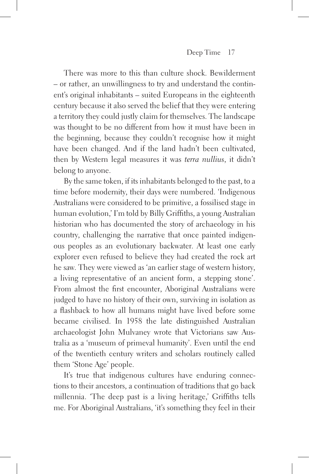There was more to this than culture shock. Bewilderment – or rather, an unwillingness to try and understand the continent's original inhabitants – suited Europeans in the eighteenth century because it also served the belief that they were entering a territory they could justly claim for themselves. The landscape was thought to be no different from how it must have been in the beginning, because they couldn't recognise how it might have been changed. And if the land hadn't been cultivated, then by Western legal measures it was *terra nullius*, it didn't belong to anyone.

By the same token, if its inhabitants belonged to the past, to a time before modernity, their days were numbered. 'Indigenous Australians were considered to be primitive, a fossilised stage in human evolution,' I'm told by Billy Griffiths, a young Australian historian who has documented the story of archaeology in his country, challenging the narrative that once painted indigenous peoples as an evolutionary backwater. At least one early explorer even refused to believe they had created the rock art he saw. They were viewed as 'an earlier stage of western history, a living representative of an ancient form, a stepping stone'. From almost the first encounter, Aboriginal Australians were judged to have no history of their own, surviving in isolation as a flashback to how all humans might have lived before some became civilised. In 1958 the late distinguished Australian archaeologist John Mulvaney wrote that Victorians saw Australia as a 'museum of primeval humanity'. Even until the end of the twentieth century writers and scholars routinely called them 'Stone Age' people.

It's true that indigenous cultures have enduring connections to their ancestors, a continuation of traditions that go back millennia. 'The deep past is a living heritage,' Griffiths tells me. For Aboriginal Australians, 'it's something they feel in their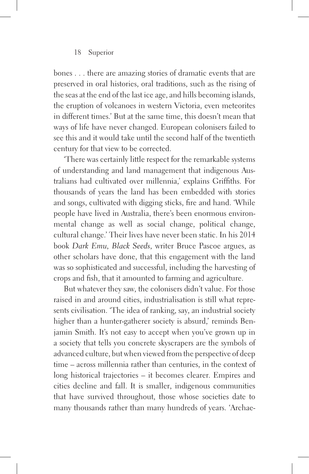bones . . . there are amazing stories of dramatic events that are preserved in oral histories, oral traditions, such as the rising of the seas at the end of the last ice age, and hills becoming islands, the eruption of volcanoes in western Victoria, even meteorites in different times.' But at the same time, this doesn't mean that ways of life have never changed. European colonisers failed to see this and it would take until the second half of the twentieth century for that view to be corrected.

'There was certainly little respect for the remarkable systems of understanding and land management that indigenous Australians had cultivated over millennia,' explains Griffiths. For thousands of years the land has been embedded with stories and songs, cultivated with digging sticks, fire and hand. 'While people have lived in Australia, there's been enormous environmental change as well as social change, political change, cultural change.' Their lives have never been static. In his 2014 book *Dark Emu, Black Seeds*, writer Bruce Pascoe argues, as other scholars have done, that this engagement with the land was so sophisticated and successful, including the harvesting of crops and fish, that it amounted to farming and agriculture.

But whatever they saw, the colonisers didn't value. For those raised in and around cities, industrialisation is still what represents civilisation. 'The idea of ranking, say, an industrial society higher than a hunter-gatherer society is absurd,' reminds Benjamin Smith. It's not easy to accept when you've grown up in a society that tells you concrete skyscrapers are the symbols of advanced culture, but when viewed from the perspective of deep time – across millennia rather than centuries, in the context of long historical trajectories – it becomes clearer. Empires and cities decline and fall. It is smaller, indigenous communities that have survived throughout, those whose societies date to many thousands rather than many hundreds of years. 'Archae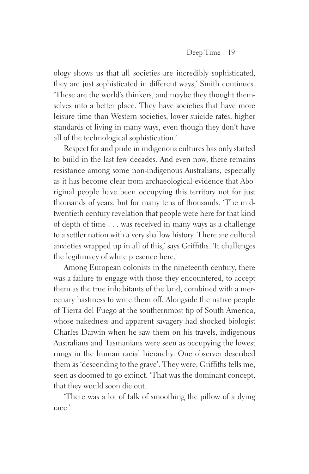ology shows us that all societies are incredibly sophisticated, they are just sophisticated in different ways,' Smith continues. 'These are the world's thinkers, and maybe they thought themselves into a better place. They have societies that have more leisure time than Western societies, lower suicide rates, higher standards of living in many ways, even though they don't have all of the technological sophistication.'

Respect for and pride in indigenous cultures has only started to build in the last few decades. And even now, there remains resistance among some non-indigenous Australians, especially as it has become clear from archaeological evidence that Aboriginal people have been occupying this territory not for just thousands of years, but for many tens of thousands. 'The midtwentieth century revelation that people were here for that kind of depth of time . . . was received in many ways as a challenge to a settler nation with a very shallow history. There are cultural anxieties wrapped up in all of this,' says Griffiths. 'It challenges the legitimacy of white presence here.'

Among European colonists in the nineteenth century, there was a failure to engage with those they encountered, to accept them as the true inhabitants of the land, combined with a mercenary hastiness to write them off. Alongside the native people of Tierra del Fuego at the southernmost tip of South America, whose nakedness and apparent savagery had shocked biologist Charles Darwin when he saw them on his travels, indigenous Australians and Tasmanians were seen as occupying the lowest rungs in the human racial hierarchy. One observer described them as 'descending to the grave'. They were, Griffiths tells me, seen as doomed to go extinct. 'That was the dominant concept, that they would soon die out.

'There was a lot of talk of smoothing the pillow of a dying race.'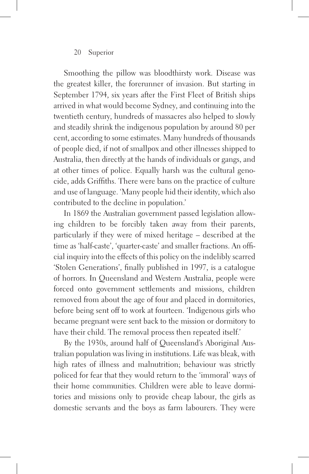Smoothing the pillow was bloodthirsty work. Disease was the greatest killer, the forerunner of invasion. But starting in September 1794, six years after the First Fleet of British ships arrived in what would become Sydney, and continuing into the twentieth century, hundreds of massacres also helped to slowly and steadily shrink the indigenous population by around 80 per cent, according to some estimates. Many hundreds of thousands of people died, if not of smallpox and other illnesses shipped to Australia, then directly at the hands of individuals or gangs, and at other times of police. Equally harsh was the cultural genocide, adds Griffiths. There were bans on the practice of culture and use of language. 'Many people hid their identity, which also contributed to the decline in population.'

In 1869 the Australian government passed legislation allowing children to be forcibly taken away from their parents, particularly if they were of mixed heritage – described at the time as 'half-caste', 'quarter-caste' and smaller fractions. An official inquiry into the effects of this policy on the indelibly scarred 'Stolen Generations', finally published in 1997, is a catalogue of horrors. In Queensland and Western Australia, people were forced onto government settlements and missions, children removed from about the age of four and placed in dormitories, before being sent off to work at fourteen. 'Indigenous girls who became pregnant were sent back to the mission or dormitory to have their child. The removal process then repeated itself.'

By the 1930s, around half of Queensland's Aboriginal Australian population was living in institutions. Life was bleak, with high rates of illness and malnutrition; behaviour was strictly policed for fear that they would return to the 'immoral' ways of their home communities. Children were able to leave dormitories and missions only to provide cheap labour, the girls as domestic servants and the boys as farm labourers. They were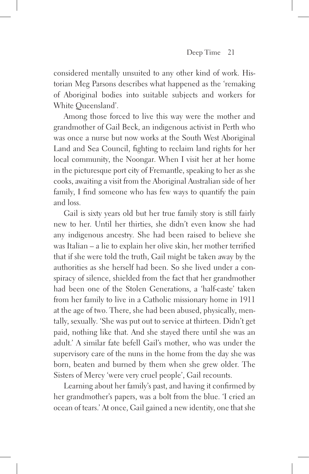considered mentally unsuited to any other kind of work. Historian Meg Parsons describes what happened as the 'remaking of Aboriginal bodies into suitable subjects and workers for White Queensland'.

Among those forced to live this way were the mother and grandmother of Gail Beck, an indigenous activist in Perth who was once a nurse but now works at the South West Aboriginal Land and Sea Council, fighting to reclaim land rights for her local community, the Noongar. When I visit her at her home in the picturesque port city of Fremantle, speaking to her as she cooks, awaiting a visit from the Aboriginal Australian side of her family, I find someone who has few ways to quantify the pain and loss.

Gail is sixty years old but her true family story is still fairly new to her. Until her thirties, she didn't even know she had any indigenous ancestry. She had been raised to believe she was Italian – a lie to explain her olive skin, her mother terrified that if she were told the truth, Gail might be taken away by the authorities as she herself had been. So she lived under a conspiracy of silence, shielded from the fact that her grandmother had been one of the Stolen Generations, a 'half-caste' taken from her family to live in a Catholic missionary home in 1911 at the age of two. There, she had been abused, physically, mentally, sexually. 'She was put out to service at thirteen. Didn't get paid, nothing like that. And she stayed there until she was an adult.' A similar fate befell Gail's mother, who was under the supervisory care of the nuns in the home from the day she was born, beaten and burned by them when she grew older. The Sisters of Mercy 'were very cruel people', Gail recounts.

Learning about her family's past, and having it confirmed by her grandmother's papers, was a bolt from the blue. 'I cried an ocean of tears.' At once, Gail gained a new identity, one that she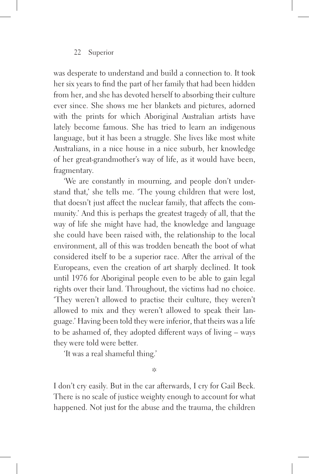was desperate to understand and build a connection to. It took her six years to find the part of her family that had been hidden from her, and she has devoted herself to absorbing their culture ever since. She shows me her blankets and pictures, adorned with the prints for which Aboriginal Australian artists have lately become famous. She has tried to learn an indigenous language, but it has been a struggle. She lives like most white Australians, in a nice house in a nice suburb, her knowledge of her great-grandmother's way of life, as it would have been, fragmentary.

'We are constantly in mourning, and people don't understand that,' she tells me. 'The young children that were lost, that doesn't just affect the nuclear family, that affects the community.' And this is perhaps the greatest tragedy of all, that the way of life she might have had, the knowledge and language she could have been raised with, the relationship to the local environment, all of this was trodden beneath the boot of what considered itself to be a superior race. After the arrival of the Europeans, even the creation of art sharply declined. It took until 1976 for Aboriginal people even to be able to gain legal rights over their land. Throughout, the victims had no choice. 'They weren't allowed to practise their culture, they weren't allowed to mix and they weren't allowed to speak their language.' Having been told they were inferior, that theirs was a life to be ashamed of, they adopted different ways of living – ways they were told were better.

'It was a real shameful thing.'

\*

I don't cry easily. But in the car afterwards, I cry for Gail Beck. There is no scale of justice weighty enough to account for what happened. Not just for the abuse and the trauma, the children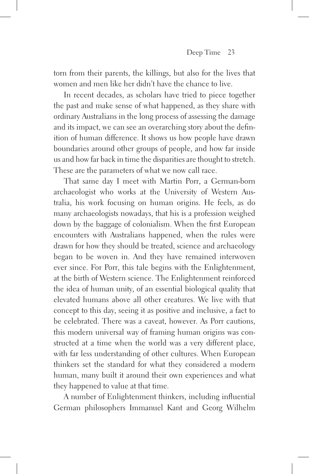torn from their parents, the killings, but also for the lives that women and men like her didn't have the chance to live.

In recent decades, as scholars have tried to piece together the past and make sense of what happened, as they share with ordinary Australians in the long process of assessing the damage and its impact, we can see an overarching story about the definition of human difference. It shows us how people have drawn boundaries around other groups of people, and how far inside us and how far back in time the disparities are thought to stretch. These are the parameters of what we now call race.

That same day I meet with Martin Porr, a German-born archaeologist who works at the University of Western Australia, his work focusing on human origins. He feels, as do many archaeologists nowadays, that his is a profession weighed down by the baggage of colonialism. When the first European encounters with Australians happened, when the rules were drawn for how they should be treated, science and archaeology began to be woven in. And they have remained interwoven ever since. For Porr, this tale begins with the Enlightenment, at the birth of Western science. The Enlightenment reinforced the idea of human unity, of an essential biological quality that elevated humans above all other creatures. We live with that concept to this day, seeing it as positive and inclusive, a fact to be celebrated. There was a caveat, however. As Porr cautions, this modern universal way of framing human origins was constructed at a time when the world was a very different place, with far less understanding of other cultures. When European thinkers set the standard for what they considered a modern human, many built it around their own experiences and what they happened to value at that time.

A number of Enlightenment thinkers, including influential German philosophers Immanuel Kant and Georg Wilhelm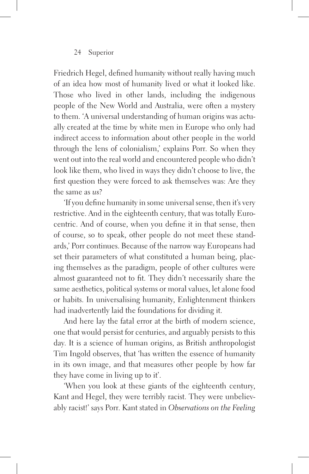Friedrich Hegel, defined humanity without really having much of an idea how most of humanity lived or what it looked like. Those who lived in other lands, including the indigenous people of the New World and Australia, were often a mystery to them. 'A universal understanding of human origins was actually created at the time by white men in Europe who only had indirect access to information about other people in the world through the lens of colonialism,' explains Porr. So when they went out into the real world and encountered people who didn't look like them, who lived in ways they didn't choose to live, the first question they were forced to ask themselves was: Are they the same as *us*?

'If you define humanity in some universal sense, then it's very restrictive. And in the eighteenth century, that was totally Eurocentric. And of course, when you define it in that sense, then of course, so to speak, other people do not meet these standards,' Porr continues. Because of the narrow way Europeans had set their parameters of what constituted a human being, placing themselves as the paradigm, people of other cultures were almost guaranteed not to fit. They didn't necessarily share the same aesthetics, political systems or moral values, let alone food or habits. In universalising humanity, Enlightenment thinkers had inadvertently laid the foundations for dividing it.

And here lay the fatal error at the birth of modern science, one that would persist for centuries, and arguably persists to this day. It is a science of human origins, as British anthropologist Tim Ingold observes, that 'has written the essence of humanity in its own image, and that measures other people by how far they have come in living up to it'.

'When you look at these giants of the eighteenth century, Kant and Hegel, they were terribly racist. They were unbelievably racist!' says Porr. Kant stated in *Observations on the Feeling*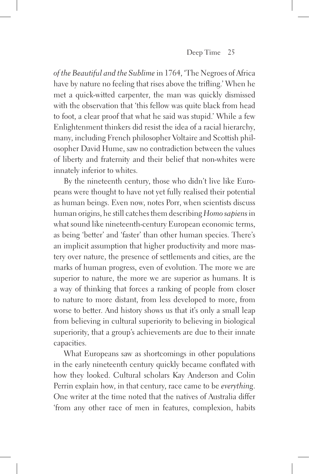*of the Beautiful and the Sublime* in 1764, 'The Negroes of Africa have by nature no feeling that rises above the trifling.' When he met a quick-witted carpenter, the man was quickly dismissed with the observation that 'this fellow was quite black from head to foot, a clear proof that what he said was stupid.' While a few Enlightenment thinkers did resist the idea of a racial hierarchy, many, including French philosopher Voltaire and Scottish philosopher David Hume, saw no contradiction between the values of liberty and fraternity and their belief that non-whites were innately inferior to whites.

By the nineteenth century, those who didn't live like Europeans were thought to have not yet fully realised their potential as human beings. Even now, notes Porr, when scientists discuss human origins, he still catches them describing *Homo sapiens* in what sound like nineteenth-century European economic terms, as being 'better' and 'faster' than other human species. There's an implicit assumption that higher productivity and more mastery over nature, the presence of settlements and cities, are the marks of human progress, even of evolution. The more we are superior to nature, the more we are superior as humans. It is a way of thinking that forces a ranking of people from closer to nature to more distant, from less developed to more, from worse to better. And history shows us that it's only a small leap from believing in cultural superiority to believing in biological superiority, that a group's achievements are due to their innate capacities.

What Europeans saw as shortcomings in other populations in the early nineteenth century quickly became conflated with how they looked. Cultural scholars Kay Anderson and Colin Perrin explain how, in that century, race came to be *everything*. One writer at the time noted that the natives of Australia differ 'from any other race of men in features, complexion, habits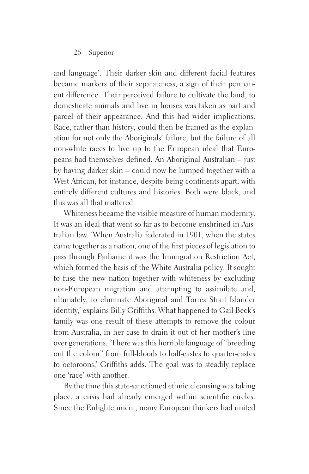and language'. Their darker skin and different facial features became markers of their separateness, a sign of their permanent difference. Their perceived failure to cultivate the land, to domesticate animals and live in houses was taken as part and parcel of their appearance. And this had wider implications. Race, rather than history, could then be framed as the explanation for not only the Aboriginals' failure, but the failure of all non-white races to live up to the European ideal that Europeans had themselves defined. An Aboriginal Australian – just by having darker skin – could now be lumped together with a West African, for instance, despite being continents apart, with entirely different cultures and histories. Both were black, and this was all that mattered.

Whiteness became the visible measure of human modernity. It was an ideal that went so far as to become enshrined in Australian law. 'When Australia federated in 1901, when the states came together as a nation, one of the first pieces of legislation to pass through Parliament was the Immigration Restriction Act, which formed the basis of the White Australia policy. It sought to fuse the new nation together with whiteness by excluding non-European migration and attempting to assimilate and, ultimately, to eliminate Aboriginal and Torres Strait Islander identity,' explains Billy Griffiths. What happened to Gail Beck's family was one result of these attempts to remove the colour from Australia, in her case to drain it out of her mother's line over generations. 'There was this horrible language of "breeding out the colour" from full-bloods to half-castes to quarter-castes to octoroons,' Griffiths adds. The goal was to steadily replace one 'race' with another.

By the time this state-sanctioned ethnic cleansing was taking place, a crisis had already emerged within scientific circles. Since the Enlightenment, many European thinkers had united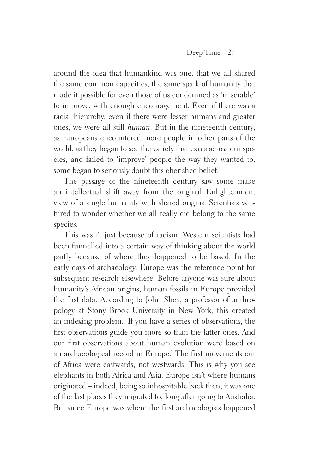around the idea that humankind was one, that we all shared the same common capacities, the same spark of humanity that made it possible for even those of us condemned as 'miserable' to improve, with enough encouragement. Even if there was a racial hierarchy, even if there were lesser humans and greater ones, we were all still *human*. But in the nineteenth century, as Europeans encountered more people in other parts of the world, as they began to see the variety that exists across our species, and failed to 'improve' people the way they wanted to, some began to seriously doubt this cherished belief.

The passage of the nineteenth century saw some make an intellectual shift away from the original Enlightenment view of a single humanity with shared origins. Scientists ventured to wonder whether we all really did belong to the same species.

This wasn't just because of racism. Western scientists had been funnelled into a certain way of thinking about the world partly because of where they happened to be based. In the early days of archaeology, Europe was the reference point for subsequent research elsewhere. Before anyone was sure about humanity's African origins, human fossils in Europe provided the first data. According to John Shea, a professor of anthropology at Stony Brook University in New York, this created an indexing problem. 'If you have a series of observations, the first observations guide you more so than the latter ones. And our first observations about human evolution were based on an archaeological record in Europe.' The first movements out of Africa were eastwards, not westwards. This is why you see elephants in both Africa and Asia. Europe isn't where humans originated – indeed, being so inhospitable back then, it was one of the last places they migrated to, long after going to Australia. But since Europe was where the first archaeologists happened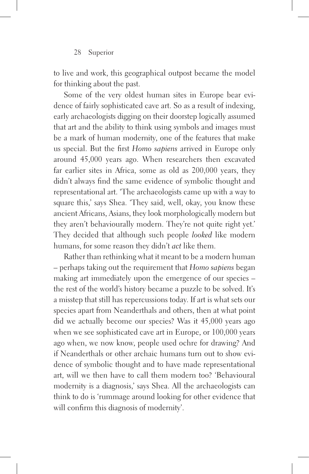to live and work, this geographical outpost became the model for thinking about the past.

Some of the very oldest human sites in Europe bear evidence of fairly sophisticated cave art. So as a result of indexing, early archaeologists digging on their doorstep logically assumed that art and the ability to think using symbols and images must be a mark of human modernity, one of the features that make us special. But the first *Homo sapiens* arrived in Europe only around 45,000 years ago. When researchers then excavated far earlier sites in Africa, some as old as 200,000 years, they didn't always find the same evidence of symbolic thought and representational art. 'The archaeologists came up with a way to square this,' says Shea. 'They said, well, okay, you know these ancient Africans, Asians, they look morphologically modern but they aren't behaviourally modern. They're not quite right yet.' They decided that although such people *looked* like modern humans, for some reason they didn't *act* like them.

Rather than rethinking what it meant to be a modern human – perhaps taking out the requirement that *Homo sapiens* began making art immediately upon the emergence of our species – the rest of the world's history became a puzzle to be solved. It's a misstep that still has repercussions today. If art is what sets our species apart from Neanderthals and others, then at what point did we actually become our species? Was it 45,000 years ago when we see sophisticated cave art in Europe, or 100,000 years ago when, we now know, people used ochre for drawing? And if Neanderthals or other archaic humans turn out to show evidence of symbolic thought and to have made representational art, will we then have to call them modern too? 'Behavioural modernity is a diagnosis,' says Shea. All the archaeologists can think to do is 'rummage around looking for other evidence that will confirm this diagnosis of modernity'.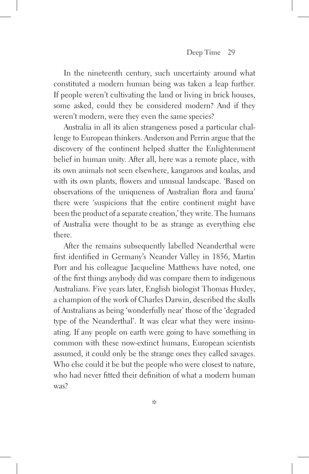In the nineteenth century, such uncertainty around what constituted a modern human being was taken a leap further. If people weren't cultivating the land or living in brick houses, some asked, could they be considered modern? And if they weren't modern, were they even the same species?

Australia in all its alien strangeness posed a particular challenge to European thinkers. Anderson and Perrin argue that the discovery of the continent helped shatter the Enlightenment belief in human unity. After all, here was a remote place, with its own animals not seen elsewhere, kangaroos and koalas, and with its own plants, flowers and unusual landscape. 'Based on observations of the uniqueness of Australian flora and fauna' there were 'suspicions that the entire continent might have been the product of a separate creation,' they write. The humans of Australia were thought to be as strange as everything else there.

After the remains subsequently labelled Neanderthal were first identified in Germany's Neander Valley in 1856, Martin Porr and his colleague Jacqueline Matthews have noted, one of the first things anybody did was compare them to indigenous Australians. Five years later, English biologist Thomas Huxley, a champion of the work of Charles Darwin, described the skulls of Australians as being 'wonderfully near' those of the 'degraded type of the Neanderthal'. It was clear what they were insinuating. If any people on earth were going to have something in common with these now-extinct humans, European scientists assumed, it could only be the strange ones they called savages. Who else could it be but the people who were closest to nature, who had never fitted their definition of what a modern human was?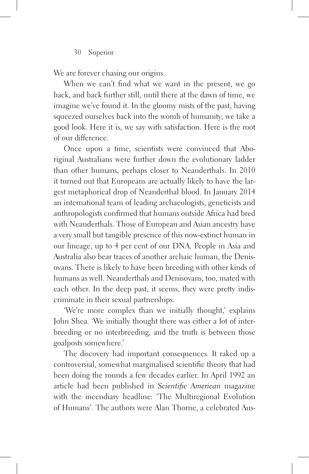We are forever chasing our origins.

When we can't find what we want in the present, we go back, and back further still, until there at the dawn of time, we imagine we've found it. In the gloomy mists of the past, having squeezed ourselves back into the womb of humanity, we take a good look. Here it is, we say with satisfaction. Here is the root of our difference.

Once upon a time, scientists were convinced that Aboriginal Australians were further down the evolutionary ladder than other humans, perhaps closer to Neanderthals. In 2010 it turned out that Europeans are actually likely to have the largest metaphorical drop of Neanderthal blood. In January 2014 an international team of leading archaeologists, geneticists and anthropologists confirmed that humans outside Africa had bred with Neanderthals. Those of European and Asian ancestry have a very small but tangible presence of this now-extinct human in our lineage, up to 4 per cent of our DNA. People in Asia and Australia also bear traces of another archaic human, the Denisovans. There is likely to have been breeding with other kinds of humans as well. Neanderthals and Denisovans, too, mated with each other. In the deep past, it seems, they were pretty indiscriminate in their sexual partnerships.

'We're more complex than we initially thought,' explains John Shea. 'We initially thought there was either a lot of interbreeding or no interbreeding, and the truth is between those goalposts somewhere.'

The discovery had important consequences. It raked up a controversial, somewhat marginalised scientific theory that had been doing the rounds a few decades earlier. In April 1992 an article had been published in *Scientific American* magazine with the incendiary headline: 'The Multiregional Evolution of Humans'. The authors were Alan Thorne, a celebrated Aus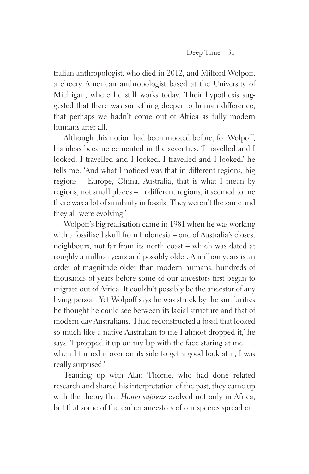tralian anthropologist, who died in 2012, and Milford Wolpoff, a cheery American anthropologist based at the University of Michigan, where he still works today. Their hypothesis suggested that there was something deeper to human difference, that perhaps we hadn't come out of Africa as fully modern humans after all.

Although this notion had been mooted before, for Wolpoff, his ideas became cemented in the seventies. 'I travelled and I looked, I travelled and I looked, I travelled and I looked,' he tells me. 'And what I noticed was that in different regions, big regions – Europe, China, Australia, that is what I mean by regions, not small places – in different regions, it seemed to me there was a lot of similarity in fossils. They weren't the same and they all were evolving.'

Wolpoff's big realisation came in 1981 when he was working with a fossilised skull from Indonesia – one of Australia's closest neighbours, not far from its north coast – which was dated at roughly a million years and possibly older. A million years is an order of magnitude older than modern humans, hundreds of thousands of years before some of our ancestors first began to migrate out of Africa. It couldn't possibly be the ancestor of any living person. Yet Wolpoff says he was struck by the similarities he thought he could see between its facial structure and that of modern-day Australians. 'I had reconstructed a fossil that looked so much like a native Australian to me I almost dropped it,' he says. 'I propped it up on my lap with the face staring at me . . . when I turned it over on its side to get a good look at it, I was really surprised.'

Teaming up with Alan Thorne, who had done related research and shared his interpretation of the past, they came up with the theory that *Homo sapiens* evolved not only in Africa, but that some of the earlier ancestors of our species spread out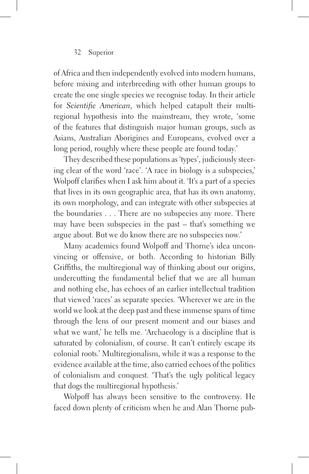of Africa and then independently evolved into modern humans, before mixing and interbreeding with other human groups to create the one single species we recognise today. In their article for *Scientific American*, which helped catapult their multiregional hypothesis into the mainstream, they wrote, 'some of the features that distinguish major human groups, such as Asians, Australian Aborigines and Europeans, evolved over a long period, roughly where these people are found today.'

They described these populations as 'types', judiciously steering clear of the word 'race'. 'A race in biology is a subspecies,' Wolpoff clarifies when I ask him about it. 'It's a part of a species that lives in its own geographic area, that has its own anatomy, its own morphology, and can integrate with other subspecies at the boundaries . . . There are no subspecies any more. There may have been subspecies in the past – that's something we argue about. But we do know there are no subspecies now.'

Many academics found Wolpoff and Thorne's idea unconvincing or offensive, or both. According to historian Billy Griffiths, the multiregional way of thinking about our origins, undercutting the fundamental belief that we are all human and nothing else, has echoes of an earlier intellectual tradition that viewed 'races' as separate species. 'Wherever we are in the world we look at the deep past and these immense spans of time through the lens of our present moment and our biases and what we want,' he tells me. 'Archaeology is a discipline that is saturated by colonialism, of course. It can't entirely escape its colonial roots.' Multiregionalism, while it was a response to the evidence available at the time, also carried echoes of the politics of colonialism and conquest. 'That's the ugly political legacy that dogs the multiregional hypothesis.'

Wolpoff has always been sensitive to the controversy. He faced down plenty of criticism when he and Alan Thorne pub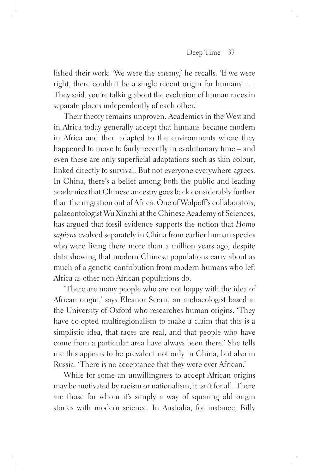lished their work. 'We were the enemy,' he recalls. 'If we were right, there couldn't be a single recent origin for humans . . . They said, you're talking about the evolution of human races in separate places independently of each other.'

Their theory remains unproven. Academics in the West and in Africa today generally accept that humans became modern in Africa and then adapted to the environments where they happened to move to fairly recently in evolutionary time – and even these are only superficial adaptations such as skin colour, linked directly to survival. But not everyone everywhere agrees. In China, there's a belief among both the public and leading academics that Chinese ancestry goes back considerably further than the migration out of Africa. One of Wolpoff's collaborators, palaeontologist Wu Xinzhi at the Chinese Academy of Sciences, has argued that fossil evidence supports the notion that *Homo sapiens* evolved separately in China from earlier human species who were living there more than a million years ago, despite data showing that modern Chinese populations carry about as much of a genetic contribution from modern humans who left Africa as other non-African populations do.

'There are many people who are not happy with the idea of African origin,' says Eleanor Scerri, an archaeologist based at the University of Oxford who researches human origins. 'They have co-opted multiregionalism to make a claim that this is a simplistic idea, that races are real, and that people who have come from a particular area have always been there.' She tells me this appears to be prevalent not only in China, but also in Russia. 'There is no acceptance that they were ever African.'

While for some an unwillingness to accept African origins may be motivated by racism or nationalism, it isn't for all. There are those for whom it's simply a way of squaring old origin stories with modern science. In Australia, for instance, Billy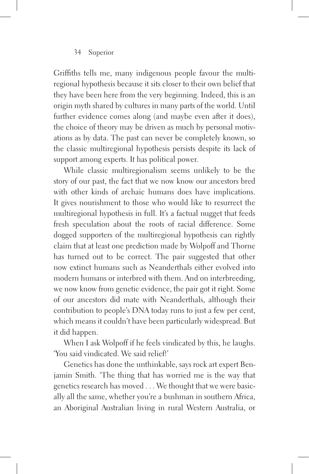Griffiths tells me, many indigenous people favour the multiregional hypothesis because it sits closer to their own belief that they have been here from the very beginning. Indeed, this is an origin myth shared by cultures in many parts of the world. Until further evidence comes along (and maybe even after it does), the choice of theory may be driven as much by personal motivations as by data. The past can never be completely known, so the classic multiregional hypothesis persists despite its lack of support among experts. It has political power.

While classic multiregionalism seems unlikely to be the story of our past, the fact that we now know our ancestors bred with other kinds of archaic humans does have implications. It gives nourishment to those who would like to resurrect the multiregional hypothesis in full. It's a factual nugget that feeds fresh speculation about the roots of racial difference. Some dogged supporters of the multiregional hypothesis can rightly claim that at least one prediction made by Wolpoff and Thorne has turned out to be correct. The pair suggested that other now extinct humans such as Neanderthals either evolved into modern humans or interbred with them. And on interbreeding, we now know from genetic evidence, the pair got it right. Some of our ancestors did mate with Neanderthals, although their contribution to people's DNA today runs to just a few per cent, which means it couldn't have been particularly widespread. But it did happen.

When I ask Wolpoff if he feels vindicated by this, he laughs. 'You said vindicated. We said relief!'

Genetics has done the unthinkable, says rock art expert Benjamin Smith. 'The thing that has worried me is the way that genetics research has moved . . . We thought that we were basically all the same, whether you're a bushman in southern Africa, an Aboriginal Australian living in rural Western Australia, or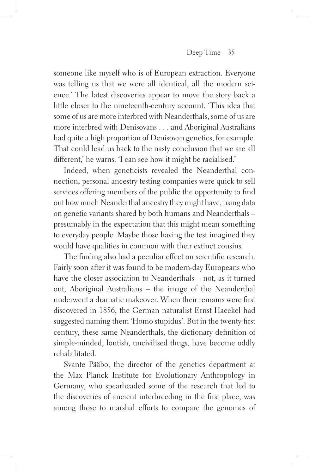someone like myself who is of European extraction. Everyone was telling us that we were all identical, all the modern science.' The latest discoveries appear to move the story back a little closer to the nineteenth-century account. 'This idea that some of us are more interbred with Neanderthals, some of us are more interbred with Denisovans . . . and Aboriginal Australians had quite a high proportion of Denisovan genetics, for example. That could lead us back to the nasty conclusion that we are all different,' he warns. 'I can see how it might be racialised.'

Indeed, when geneticists revealed the Neanderthal connection, personal ancestry testing companies were quick to sell services offering members of the public the opportunity to find out how much Neanderthal ancestry they might have, using data on genetic variants shared by both humans and Neanderthals – presumably in the expectation that this might mean something to everyday people. Maybe those having the test imagined they would have qualities in common with their extinct cousins.

The finding also had a peculiar effect on scientific research. Fairly soon after it was found to be modern-day Europeans who have the closer association to Neanderthals – not, as it turned out, Aboriginal Australians – the image of the Neanderthal underwent a dramatic makeover. When their remains were first discovered in 1856, the German naturalist Ernst Haeckel had suggested naming them 'Homo stupidus'. But in the twenty-first century, these same Neanderthals, the dictionary definition of simple-minded, loutish, uncivilised thugs, have become oddly rehabilitated.

Svante Pääbo, the director of the genetics department at the Max Planck Institute for Evolutionary Anthropology in Germany, who spearheaded some of the research that led to the discoveries of ancient interbreeding in the first place, was among those to marshal efforts to compare the genomes of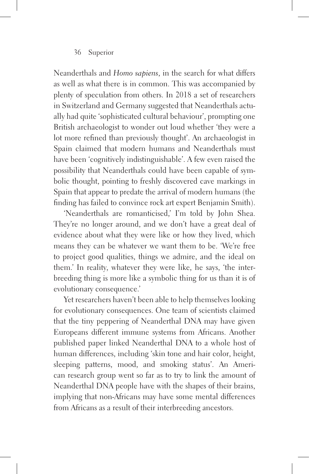Neanderthals and *Homo sapiens*, in the search for what differs as well as what there is in common. This was accompanied by plenty of speculation from others. In 2018 a set of researchers in Switzerland and Germany suggested that Neanderthals actually had quite 'sophisticated cultural behaviour', prompting one British archaeologist to wonder out loud whether 'they were a lot more refined than previously thought'. An archaeologist in Spain claimed that modern humans and Neanderthals must have been 'cognitively indistinguishable'. A few even raised the possibility that Neanderthals could have been capable of symbolic thought, pointing to freshly discovered cave markings in Spain that appear to predate the arrival of modern humans (the finding has failed to convince rock art expert Benjamin Smith).

'Neanderthals are romanticised,' I'm told by John Shea. They're no longer around, and we don't have a great deal of evidence about what they were like or how they lived, which means they can be whatever we want them to be. 'We're free to project good qualities, things we admire, and the ideal on them.' In reality, whatever they were like, he says, 'the interbreeding thing is more like a symbolic thing for us than it is of evolutionary consequence.'

Yet researchers haven't been able to help themselves looking for evolutionary consequences. One team of scientists claimed that the tiny peppering of Neanderthal DNA may have given Europeans different immune systems from Africans. Another published paper linked Neanderthal DNA to a whole host of human differences, including 'skin tone and hair color, height, sleeping patterns, mood, and smoking status'. An American research group went so far as to try to link the amount of Neanderthal DNA people have with the shapes of their brains, implying that non-Africans may have some mental differences from Africans as a result of their interbreeding ancestors.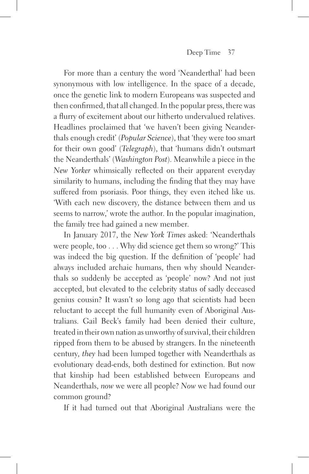For more than a century the word 'Neanderthal' had been synonymous with low intelligence. In the space of a decade, once the genetic link to modern Europeans was suspected and then confirmed, that all changed. In the popular press, there was a flurry of excitement about our hitherto undervalued relatives. Headlines proclaimed that 'we haven't been giving Neanderthals enough credit' (*Popular Science*), that 'they were too smart for their own good' (*Telegraph*), that 'humans didn't outsmart the Neanderthals' (*Washington Post*). Meanwhile a piece in the *New Yorker* whimsically reflected on their apparent everyday similarity to humans, including the finding that they may have suffered from psoriasis. Poor things, they even itched like us. 'With each new discovery, the distance between them and us seems to narrow,' wrote the author. In the popular imagination, the family tree had gained a new member.

In January 2017, the *New York Times* asked: 'Neanderthals were people, too . . . Why did science get them so wrong?' This was indeed the big question. If the definition of 'people' had always included archaic humans, then why should Neanderthals so suddenly be accepted as 'people' now? And not just accepted, but elevated to the celebrity status of sadly deceased genius cousin? It wasn't so long ago that scientists had been reluctant to accept the full humanity even of Aboriginal Australians. Gail Beck's family had been denied their culture, treated in their own nation as unworthy of survival, their children ripped from them to be abused by strangers. In the nineteenth century, *they* had been lumped together with Neanderthals as evolutionary dead-ends, both destined for extinction. But now that kinship had been established between Europeans and Neanderthals, *now* we were all people? *Now* we had found our common ground?

If it had turned out that Aboriginal Australians were the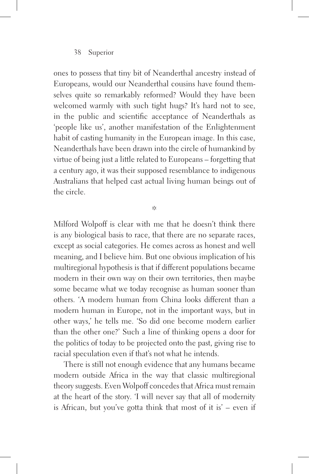ones to possess that tiny bit of Neanderthal ancestry instead of Europeans, would our Neanderthal cousins have found themselves quite so remarkably reformed? Would they have been welcomed warmly with such tight hugs? It's hard not to see, in the public and scientific acceptance of Neanderthals as 'people like us', another manifestation of the Enlightenment habit of casting humanity in the European image. In this case, Neanderthals have been drawn into the circle of humankind by virtue of being just a little related to Europeans – forgetting that a century ago, it was their supposed resemblance to indigenous Australians that helped cast actual living human beings out of the circle.

\*

Milford Wolpoff is clear with me that he doesn't think there is any biological basis to race, that there are no separate races, except as social categories. He comes across as honest and well meaning, and I believe him. But one obvious implication of his multiregional hypothesis is that if different populations became modern in their own way on their own territories, then maybe some became what we today recognise as human sooner than others. 'A modern human from China looks different than a modern human in Europe, not in the important ways, but in other ways,' he tells me. 'So did one become modern earlier than the other one?' Such a line of thinking opens a door for the politics of today to be projected onto the past, giving rise to racial speculation even if that's not what he intends.

There is still not enough evidence that any humans became modern outside Africa in the way that classic multiregional theory suggests. Even Wolpoff concedes that Africa must remain at the heart of the story. 'I will never say that all of modernity is African, but you've gotta think that most of it is' – even if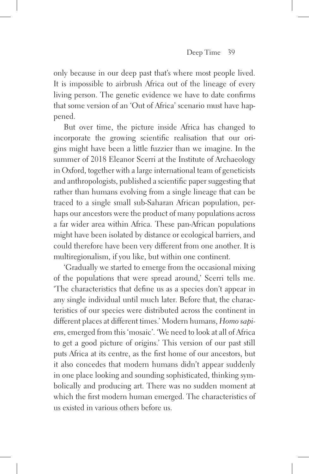only because in our deep past that's where most people lived. It is impossible to airbrush Africa out of the lineage of every living person. The genetic evidence we have to date confirms that some version of an 'Out of Africa' scenario must have happened.

But over time, the picture inside Africa has changed to incorporate the growing scientific realisation that our origins might have been a little fuzzier than we imagine. In the summer of 2018 Eleanor Scerri at the Institute of Archaeology in Oxford, together with a large international team of geneticists and anthropologists, published a scientific paper suggesting that rather than humans evolving from a single lineage that can be traced to a single small sub-Saharan African population, perhaps our ancestors were the product of many populations across a far wider area within Africa. These pan-African populations might have been isolated by distance or ecological barriers, and could therefore have been very different from one another. It is multiregionalism, if you like, but within one continent.

'Gradually we started to emerge from the occasional mixing of the populations that were spread around,' Scerri tells me. 'The characteristics that define us as a species don't appear in any single individual until much later. Before that, the characteristics of our species were distributed across the continent in different places at different times.' Modern humans, *Homo sapiens*, emerged from this 'mosaic'. 'We need to look at all of Africa to get a good picture of origins.' This version of our past still puts Africa at its centre, as the first home of our ancestors, but it also concedes that modern humans didn't appear suddenly in one place looking and sounding sophisticated, thinking symbolically and producing art. There was no sudden moment at which the first modern human emerged. The characteristics of us existed in various others before us.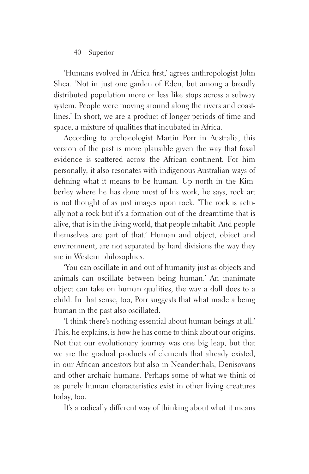'Humans evolved in Africa first,' agrees anthropologist John Shea. 'Not in just one garden of Eden, but among a broadly distributed population more or less like stops across a subway system. People were moving around along the rivers and coastlines.' In short, we are a product of longer periods of time and space, a mixture of qualities that incubated in Africa.

According to archaeologist Martin Porr in Australia, this version of the past is more plausible given the way that fossil evidence is scattered across the African continent. For him personally, it also resonates with indigenous Australian ways of defining what it means to be human. Up north in the Kimberley where he has done most of his work, he says, rock art is not thought of as just images upon rock. 'The rock is actually not a rock but it's a formation out of the dreamtime that is alive, that is in the living world, that people inhabit. And people themselves are part of that.' Human and object, object and environment, are not separated by hard divisions the way they are in Western philosophies.

'You can oscillate in and out of humanity just as objects and animals can oscillate between being human.' An inanimate object can take on human qualities, the way a doll does to a child. In that sense, too, Porr suggests that what made a being human in the past also oscillated.

'I think there's nothing essential about human beings at all.' This, he explains, is how he has come to think about our origins. Not that our evolutionary journey was one big leap, but that we are the gradual products of elements that already existed, in our African ancestors but also in Neanderthals, Denisovans and other archaic humans. Perhaps some of what we think of as purely human characteristics exist in other living creatures today, too.

It's a radically different way of thinking about what it means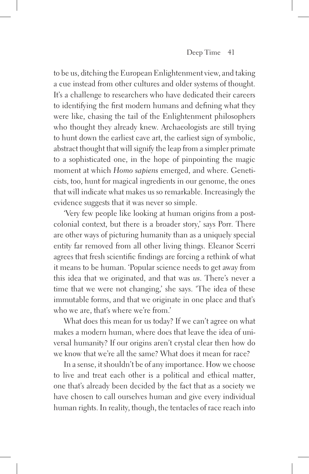to be us, ditching the European Enlightenment view, and taking a cue instead from other cultures and older systems of thought. It's a challenge to researchers who have dedicated their careers to identifying the first modern humans and defining what they were like, chasing the tail of the Enlightenment philosophers who thought they already knew. Archaeologists are still trying to hunt down the earliest cave art, the earliest sign of symbolic, abstract thought that will signify the leap from a simpler primate to a sophisticated one, in the hope of pinpointing the magic moment at which *Homo sapiens* emerged, and where. Geneticists, too, hunt for magical ingredients in our genome, the ones that will indicate what makes us so remarkable. Increasingly the evidence suggests that it was never so simple.

'Very few people like looking at human origins from a postcolonial context, but there is a broader story,' says Porr. There are other ways of picturing humanity than as a uniquely special entity far removed from all other living things. Eleanor Scerri agrees that fresh scientific findings are forcing a rethink of what it means to be human. 'Popular science needs to get away from this idea that we originated, and that was *us*. There's never a time that we were not changing,' she says. 'The idea of these immutable forms, and that we originate in one place and that's who we are, that's where we're from.'

What does this mean for us today? If we can't agree on what makes a modern human, where does that leave the idea of universal humanity? If our origins aren't crystal clear then how do we know that we're all the same? What does it mean for race?

In a sense, it shouldn't be of any importance. How we choose to live and treat each other is a political and ethical matter, one that's already been decided by the fact that as a society we have chosen to call ourselves human and give every individual human rights. In reality, though, the tentacles of race reach into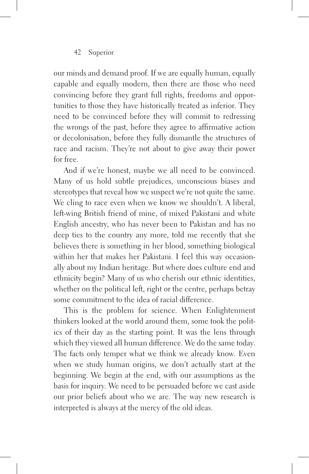our minds and demand proof. If we are equally human, equally capable and equally modern, then there are those who need convincing before they grant full rights, freedoms and opportunities to those they have historically treated as inferior. They need to be convinced before they will commit to redressing the wrongs of the past, before they agree to affirmative action or decolonisation, before they fully dismantle the structures of race and racism. They're not about to give away their power for free.

And if we're honest, maybe we all need to be convinced. Many of us hold subtle prejudices, unconscious biases and stereotypes that reveal how we suspect we're not quite the same. We cling to race even when we know we shouldn't. A liberal, left-wing British friend of mine, of mixed Pakistani and white English ancestry, who has never been to Pakistan and has no deep ties to the country any more, told me recently that she believes there is something in her blood, something biological within her that makes her Pakistani. I feel this way occasionally about my Indian heritage. But where does culture end and ethnicity begin? Many of us who cherish our ethnic identities, whether on the political left, right or the centre, perhaps betray some commitment to the idea of racial difference.

This is the problem for science. When Enlightenment thinkers looked at the world around them, some took the politics of their day as the starting point. It was the lens through which they viewed all human difference. We do the same today. The facts only temper what we think we already know. Even when we study human origins, we don't actually start at the beginning. We begin at the end, with our assumptions as the basis for inquiry. We need to be persuaded before we cast aside our prior beliefs about who we are. The way new research is interpreted is always at the mercy of the old ideas.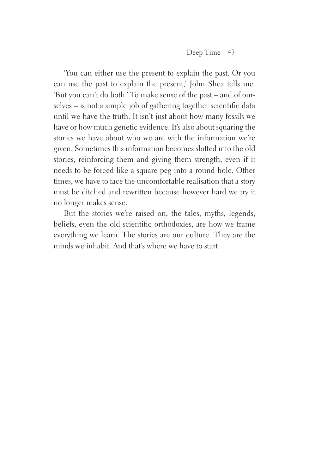'You can either use the present to explain the past. Or you can use the past to explain the present,' John Shea tells me. 'But you can't do both.' To make sense of the past – and of ourselves – is not a simple job of gathering together scientific data until we have the truth. It isn't just about how many fossils we have or how much genetic evidence. It's also about squaring the stories we have about who we are with the information we're given. Sometimes this information becomes slotted into the old stories, reinforcing them and giving them strength, even if it needs to be forced like a square peg into a round hole. Other times, we have to face the uncomfortable realisation that a story must be ditched and rewritten because however hard we try it no longer makes sense.

But the stories we're raised on, the tales, myths, legends, beliefs, even the old scientific orthodoxies, are how we frame everything we learn. The stories are our culture. They are the minds we inhabit. And that's where we have to start.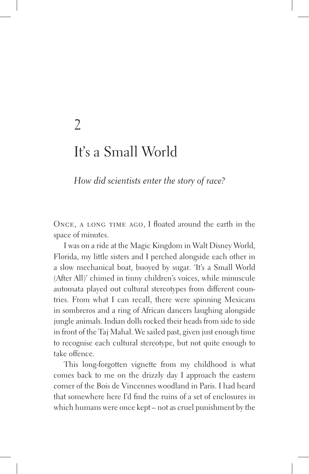### It's a Small World

*How did scientists enter the story of race?*

ONCE, A LONG TIME AGO, I floated around the earth in the space of minutes.

I was on a ride at the Magic Kingdom in Walt Disney World, Florida, my little sisters and I perched alongside each other in a slow mechanical boat, buoyed by sugar. 'It's a Small World (After All)' chimed in tinny children's voices, while minuscule automata played out cultural stereotypes from different countries. From what I can recall, there were spinning Mexicans in sombreros and a ring of African dancers laughing alongside jungle animals. Indian dolls rocked their heads from side to side in front of the Taj Mahal. We sailed past, given just enough time to recognise each cultural stereotype, but not quite enough to take offence.

This long-forgotten vignette from my childhood is what comes back to me on the drizzly day I approach the eastern corner of the Bois de Vincennes woodland in Paris. I had heard that somewhere here I'd find the ruins of a set of enclosures in which humans were once kept – not as cruel punishment by the

2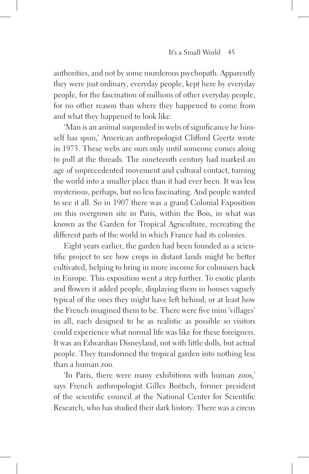authorities, and not by some murderous psychopath. Apparently they were just ordinary, everyday people, kept here by everyday people, for the fascination of millions of other everyday people, for no other reason than where they happened to come from and what they happened to look like.

'Man is an animal suspended in webs of significance he himself has spun,' American anthropologist Clifford Geertz wrote in 1973. These webs are ours only until someone comes along to pull at the threads. The nineteenth century had marked an age of unprecedented movement and cultural contact, turning the world into a smaller place than it had ever been. It was less mysterious, perhaps, but no less fascinating. And people wanted to see it all. So in 1907 there was a grand Colonial Exposition on this overgrown site in Paris, within the Bois, in what was known as the Garden for Tropical Agriculture, recreating the different parts of the world in which France had its colonies.

Eight years earlier, the garden had been founded as a scientific project to see how crops in distant lands might be better cultivated, helping to bring in more income for colonisers back in Europe. This exposition went a step further. To exotic plants and flowers it added people, displaying them in houses vaguely typical of the ones they might have left behind, or at least how the French imagined them to be. There were five mini 'villages' in all, each designed to be as realistic as possible so visitors could experience what normal life was like for these foreigners. It was an Edwardian Disneyland, not with little dolls, but actual people. They transformed the tropical garden into nothing less than a human zoo.

'In Paris, there were many exhibitions with human zoos,' says French anthropologist Gilles Boëtsch, former president of the scientific council at the National Center for Scientific Research, who has studied their dark history. There was a circus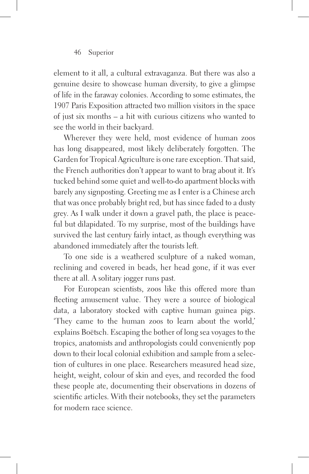element to it all, a cultural extravaganza. But there was also a genuine desire to showcase human diversity, to give a glimpse of life in the faraway colonies. According to some estimates, the 1907 Paris Exposition attracted two million visitors in the space of just six months – a hit with curious citizens who wanted to see the world in their backyard.

Wherever they were held, most evidence of human zoos has long disappeared, most likely deliberately forgotten. The Garden for Tropical Agriculture is one rare exception. That said, the French authorities don't appear to want to brag about it. It's tucked behind some quiet and well-to-do apartment blocks with barely any signposting. Greeting me as I enter is a Chinese arch that was once probably bright red, but has since faded to a dusty grey. As I walk under it down a gravel path, the place is peaceful but dilapidated. To my surprise, most of the buildings have survived the last century fairly intact, as though everything was abandoned immediately after the tourists left.

To one side is a weathered sculpture of a naked woman, reclining and covered in beads, her head gone, if it was ever there at all. A solitary jogger runs past.

For European scientists, zoos like this offered more than fleeting amusement value. They were a source of biological data, a laboratory stocked with captive human guinea pigs. 'They came to the human zoos to learn about the world,' explains Boëtsch. Escaping the bother of long sea voyages to the tropics, anatomists and anthropologists could conveniently pop down to their local colonial exhibition and sample from a selection of cultures in one place. Researchers measured head size, height, weight, colour of skin and eyes, and recorded the food these people ate, documenting their observations in dozens of scientific articles. With their notebooks, they set the parameters for modern race science.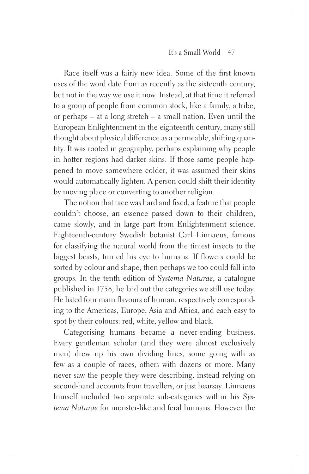#### It's a Small World 47

Race itself was a fairly new idea. Some of the first known uses of the word date from as recently as the sixteenth century, but not in the way we use it now. Instead, at that time it referred to a group of people from common stock, like a family, a tribe, or perhaps – at a long stretch – a small nation. Even until the European Enlightenment in the eighteenth century, many still thought about physical difference as a permeable, shifting quantity. It was rooted in geography, perhaps explaining why people in hotter regions had darker skins. If those same people happened to move somewhere colder, it was assumed their skins would automatically lighten. A person could shift their identity by moving place or converting to another religion.

The notion that race was hard and fixed, a feature that people couldn't choose, an essence passed down to their children, came slowly, and in large part from Enlightenment science. Eighteenth-century Swedish botanist Carl Linnaeus, famous for classifying the natural world from the tiniest insects to the biggest beasts, turned his eye to humans. If flowers could be sorted by colour and shape, then perhaps we too could fall into groups. In the tenth edition of *Systema Naturae*, a catalogue published in 1758, he laid out the categories we still use today. He listed four main flavours of human, respectively corresponding to the Americas, Europe, Asia and Africa, and each easy to spot by their colours: red, white, yellow and black.

Categorising humans became a never-ending business. Every gentleman scholar (and they were almost exclusively men) drew up his own dividing lines, some going with as few as a couple of races, others with dozens or more. Many never saw the people they were describing, instead relying on second-hand accounts from travellers, or just hearsay. Linnaeus himself included two separate sub-categories within his *Systema Naturae* for monster-like and feral humans. However the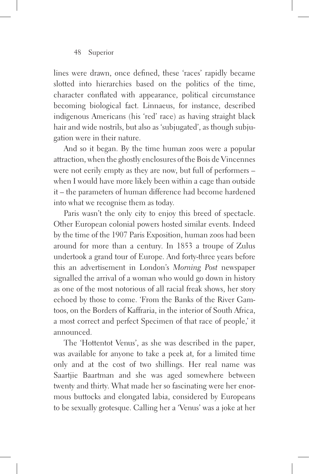lines were drawn, once defined, these 'races' rapidly became slotted into hierarchies based on the politics of the time, character conflated with appearance, political circumstance becoming biological fact. Linnaeus, for instance, described indigenous Americans (his 'red' race) as having straight black hair and wide nostrils, but also as 'subjugated', as though subjugation were in their nature.

And so it began. By the time human zoos were a popular attraction, when the ghostly enclosures of the Bois de Vincennes were not eerily empty as they are now, but full of performers – when I would have more likely been within a cage than outside it – the parameters of human difference had become hardened into what we recognise them as today.

Paris wasn't the only city to enjoy this breed of spectacle. Other European colonial powers hosted similar events. Indeed by the time of the 1907 Paris Exposition, human zoos had been around for more than a century. In 1853 a troupe of Zulus undertook a grand tour of Europe. And forty-three years before this an advertisement in London's *Morning Post* newspaper signalled the arrival of a woman who would go down in history as one of the most notorious of all racial freak shows, her story echoed by those to come. 'From the Banks of the River Gamtoos, on the Borders of Kaffraria, in the interior of South Africa, a most correct and perfect Specimen of that race of people,' it announced.

The 'Hottentot Venus', as she was described in the paper, was available for anyone to take a peek at, for a limited time only and at the cost of two shillings. Her real name was Saartjie Baartman and she was aged somewhere between twenty and thirty. What made her so fascinating were her enormous buttocks and elongated labia, considered by Europeans to be sexually grotesque. Calling her a 'Venus' was a joke at her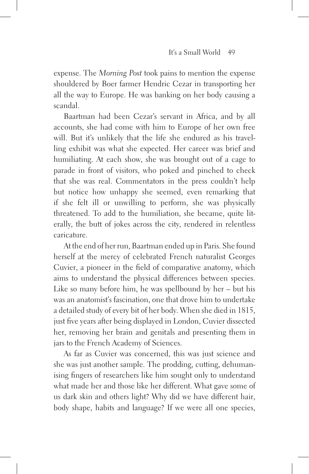expense. The *Morning Post* took pains to mention the expense shouldered by Boer farmer Hendric Cezar in transporting her all the way to Europe. He was banking on her body causing a scandal.

Baartman had been Cezar's servant in Africa, and by all accounts, she had come with him to Europe of her own free will. But it's unlikely that the life she endured as his travelling exhibit was what she expected. Her career was brief and humiliating. At each show, she was brought out of a cage to parade in front of visitors, who poked and pinched to check that she was real. Commentators in the press couldn't help but notice how unhappy she seemed, even remarking that if she felt ill or unwilling to perform, she was physically threatened. To add to the humiliation, she became, quite literally, the butt of jokes across the city, rendered in relentless caricature.

At the end of her run, Baartman ended up in Paris. She found herself at the mercy of celebrated French naturalist Georges Cuvier, a pioneer in the field of comparative anatomy, which aims to understand the physical differences between species. Like so many before him, he was spellbound by her – but his was an anatomist's fascination, one that drove him to undertake a detailed study of every bit of her body. When she died in 1815, just five years after being displayed in London, Cuvier dissected her, removing her brain and genitals and presenting them in jars to the French Academy of Sciences.

As far as Cuvier was concerned, this was just science and she was just another sample. The prodding, cutting, dehumanising fingers of researchers like him sought only to understand what made her and those like her different. What gave some of us dark skin and others light? Why did we have different hair, body shape, habits and language? If we were all one species,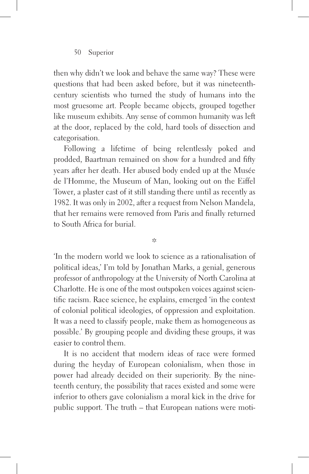then why didn't we look and behave the same way? These were questions that had been asked before, but it was nineteenthcentury scientists who turned the study of humans into the most gruesome art. People became objects, grouped together like museum exhibits. Any sense of common humanity was left at the door, replaced by the cold, hard tools of dissection and categorisation.

Following a lifetime of being relentlessly poked and prodded, Baartman remained on show for a hundred and fifty years after her death. Her abused body ended up at the Musée de l'Homme, the Museum of Man, looking out on the Eiffel Tower, a plaster cast of it still standing there until as recently as 1982. It was only in 2002, after a request from Nelson Mandela, that her remains were removed from Paris and finally returned to South Africa for burial.

\*

'In the modern world we look to science as a rationalisation of political ideas,' I'm told by Jonathan Marks, a genial, generous professor of anthropology at the University of North Carolina at Charlotte. He is one of the most outspoken voices against scientific racism. Race science, he explains, emerged 'in the context of colonial political ideologies, of oppression and exploitation. It was a need to classify people, make them as homogeneous as possible.' By grouping people and dividing these groups, it was easier to control them.

It is no accident that modern ideas of race were formed during the heyday of European colonialism, when those in power had already decided on their superiority. By the nineteenth century, the possibility that races existed and some were inferior to others gave colonialism a moral kick in the drive for public support. The truth – that European nations were moti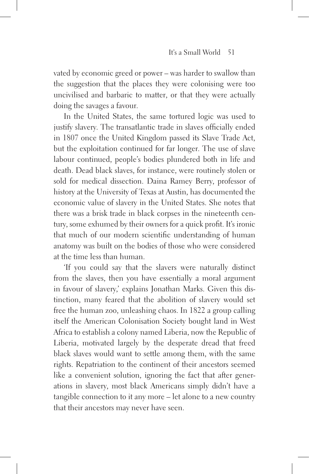vated by economic greed or power – was harder to swallow than the suggestion that the places they were colonising were too uncivilised and barbaric to matter, or that they were actually doing the savages a favour.

In the United States, the same tortured logic was used to justify slavery. The transatlantic trade in slaves officially ended in 1807 once the United Kingdom passed its Slave Trade Act, but the exploitation continued for far longer. The use of slave labour continued, people's bodies plundered both in life and death. Dead black slaves, for instance, were routinely stolen or sold for medical dissection. Daina Ramey Berry, professor of history at the University of Texas at Austin, has documented the economic value of slavery in the United States. She notes that there was a brisk trade in black corpses in the nineteenth century, some exhumed by their owners for a quick profit. It's ironic that much of our modern scientific understanding of human anatomy was built on the bodies of those who were considered at the time less than human.

'If you could say that the slavers were naturally distinct from the slaves, then you have essentially a moral argument in favour of slavery,' explains Jonathan Marks. Given this distinction, many feared that the abolition of slavery would set free the human zoo, unleashing chaos. In 1822 a group calling itself the American Colonisation Society bought land in West Africa to establish a colony named Liberia, now the Republic of Liberia, motivated largely by the desperate dread that freed black slaves would want to settle among them, with the same rights. Repatriation to the continent of their ancestors seemed like a convenient solution, ignoring the fact that after generations in slavery, most black Americans simply didn't have a tangible connection to it any more – let alone to a new country that their ancestors may never have seen.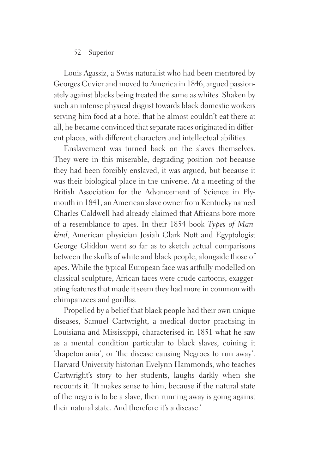Louis Agassiz, a Swiss naturalist who had been mentored by Georges Cuvier and moved to America in 1846, argued passionately against blacks being treated the same as whites. Shaken by such an intense physical disgust towards black domestic workers serving him food at a hotel that he almost couldn't eat there at all, he became convinced that separate races originated in different places, with different characters and intellectual abilities.

Enslavement was turned back on the slaves themselves. They were in this miserable, degrading position not because they had been forcibly enslaved, it was argued, but because it was their biological place in the universe. At a meeting of the British Association for the Advancement of Science in Plymouth in 1841, an American slave owner from Kentucky named Charles Caldwell had already claimed that Africans bore more of a resemblance to apes. In their 1854 book *Types of Mankind*, American physician Josiah Clark Nott and Egyptologist George Gliddon went so far as to sketch actual comparisons between the skulls of white and black people, alongside those of apes. While the typical European face was artfully modelled on classical sculpture, African faces were crude cartoons, exaggerating features that made it seem they had more in common with chimpanzees and gorillas.

Propelled by a belief that black people had their own unique diseases, Samuel Cartwright, a medical doctor practising in Louisiana and Mississippi, characterised in 1851 what he saw as a mental condition particular to black slaves, coining it 'drapetomania', or 'the disease causing Negroes to run away'. Harvard University historian Evelynn Hammonds, who teaches Cartwright's story to her students, laughs darkly when she recounts it. 'It makes sense to him, because if the natural state of the negro is to be a slave, then running away is going against their natural state. And therefore it's a disease.'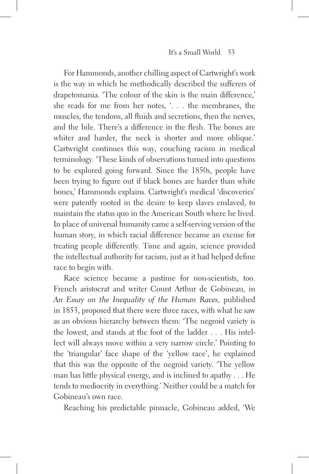#### It's a Small World 53

For Hammonds, another chilling aspect of Cartwright's work is the way in which he methodically described the sufferers of drapetomania. 'The colour of the skin is the main difference,' she reads for me from her notes, '. . . the membranes, the muscles, the tendons, all fluids and secretions, then the nerves, and the bile. There's a difference in the flesh. The bones are whiter and harder, the neck is shorter and more oblique.' Cartwright continues this way, couching racism in medical terminology. 'These kinds of observations turned into questions to be explored going forward. Since the 1850s, people have been trying to figure out if black bones are harder than white bones,' Hammonds explains. Cartwright's medical 'discoveries' were patently rooted in the desire to keep slaves enslaved, to maintain the status quo in the American South where he lived. In place of universal humanity came a self-serving version of the human story, in which racial difference became an excuse for treating people differently. Time and again, science provided the intellectual authority for racism, just as it had helped define race to begin with.

Race science became a pastime for non-scientists, too. French aristocrat and writer Count Arthur de Gobineau, in *An Essay on the Inequality of the Human Races*, published in 1853, proposed that there were three races, with what he saw as an obvious hierarchy between them: 'The negroid variety is the lowest, and stands at the foot of the ladder . . . His intellect will always move within a very narrow circle.' Pointing to the 'triangular' face shape of the 'yellow race', he explained that this was the opposite of the negroid variety. 'The yellow man has little physical energy, and is inclined to apathy . . . He tends to mediocrity in everything.' Neither could be a match for Gobineau's own race.

Reaching his predictable pinnacle, Gobineau added, 'We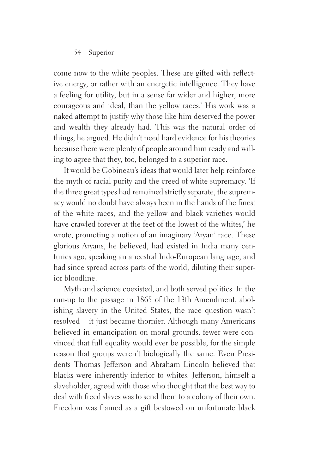come now to the white peoples. These are gifted with reflective energy, or rather with an energetic intelligence. They have a feeling for utility, but in a sense far wider and higher, more courageous and ideal, than the yellow races.' His work was a naked attempt to justify why those like him deserved the power and wealth they already had. This was the natural order of things, he argued. He didn't need hard evidence for his theories because there were plenty of people around him ready and willing to agree that they, too, belonged to a superior race.

It would be Gobineau's ideas that would later help reinforce the myth of racial purity and the creed of white supremacy. 'If the three great types had remained strictly separate, the supremacy would no doubt have always been in the hands of the finest of the white races, and the yellow and black varieties would have crawled forever at the feet of the lowest of the whites,' he wrote, promoting a notion of an imaginary 'Aryan' race. These glorious Aryans, he believed, had existed in India many centuries ago, speaking an ancestral Indo-European language, and had since spread across parts of the world, diluting their superior bloodline.

Myth and science coexisted, and both served politics. In the run-up to the passage in 1865 of the 13th Amendment, abolishing slavery in the United States, the race question wasn't resolved – it just became thornier. Although many Americans believed in emancipation on moral grounds, fewer were convinced that full equality would ever be possible, for the simple reason that groups weren't biologically the same. Even Presidents Thomas Jefferson and Abraham Lincoln believed that blacks were inherently inferior to whites. Jefferson, himself a slaveholder, agreed with those who thought that the best way to deal with freed slaves was to send them to a colony of their own. Freedom was framed as a gift bestowed on unfortunate black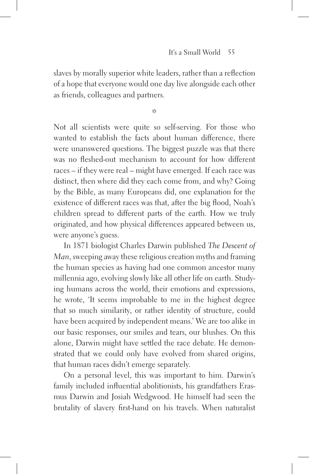slaves by morally superior white leaders, rather than a reflection of a hope that everyone would one day live alongside each other as friends, colleagues and partners.

\*

Not all scientists were quite so self-serving. For those who wanted to establish the facts about human difference, there were unanswered questions. The biggest puzzle was that there was no fleshed-out mechanism to account for how different races – if they were real – might have emerged. If each race was distinct, then where did they each come from, and why? Going by the Bible, as many Europeans did, one explanation for the existence of different races was that, after the big flood, Noah's children spread to different parts of the earth. How we truly originated, and how physical differences appeared between us, were anyone's guess.

In 1871 biologist Charles Darwin published *The Descent of Man*, sweeping away these religious creation myths and framing the human species as having had one common ancestor many millennia ago, evolving slowly like all other life on earth. Studying humans across the world, their emotions and expressions, he wrote, 'It seems improbable to me in the highest degree that so much similarity, or rather identity of structure, could have been acquired by independent means.' We are too alike in our basic responses, our smiles and tears, our blushes. On this alone, Darwin might have settled the race debate. He demonstrated that we could only have evolved from shared origins, that human races didn't emerge separately.

On a personal level, this was important to him. Darwin's family included influential abolitionists, his grandfathers Erasmus Darwin and Josiah Wedgwood. He himself had seen the brutality of slavery first-hand on his travels. When naturalist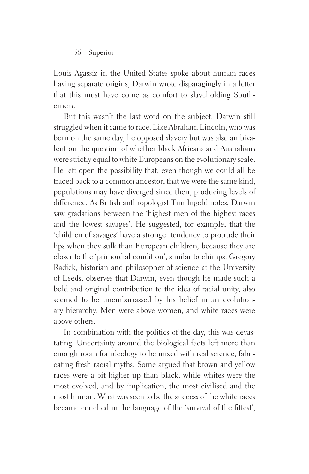Louis Agassiz in the United States spoke about human races having separate origins, Darwin wrote disparagingly in a letter that this must have come as comfort to slaveholding Southerners.

But this wasn't the last word on the subject. Darwin still struggled when it came to race. Like Abraham Lincoln, who was born on the same day, he opposed slavery but was also ambivalent on the question of whether black Africans and Australians were strictly equal to white Europeans on the evolutionary scale. He left open the possibility that, even though we could all be traced back to a common ancestor, that we were the same kind, populations may have diverged since then, producing levels of difference. As British anthropologist Tim Ingold notes, Darwin saw gradations between the 'highest men of the highest races and the lowest savages'. He suggested, for example, that the 'children of savages' have a stronger tendency to protrude their lips when they sulk than European children, because they are closer to the 'primordial condition', similar to chimps. Gregory Radick, historian and philosopher of science at the University of Leeds, observes that Darwin, even though he made such a bold and original contribution to the idea of racial unity, also seemed to be unembarrassed by his belief in an evolutionary hierarchy. Men were above women, and white races were above others.

In combination with the politics of the day, this was devastating. Uncertainty around the biological facts left more than enough room for ideology to be mixed with real science, fabricating fresh racial myths. Some argued that brown and yellow races were a bit higher up than black, while whites were the most evolved, and by implication, the most civilised and the most human. What was seen to be the success of the white races became couched in the language of the 'survival of the fittest',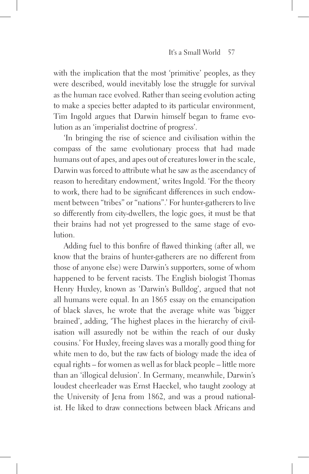#### It's a Small World 57

with the implication that the most 'primitive' peoples, as they were described, would inevitably lose the struggle for survival as the human race evolved. Rather than seeing evolution acting to make a species better adapted to its particular environment, Tim Ingold argues that Darwin himself began to frame evolution as an 'imperialist doctrine of progress'.

'In bringing the rise of science and civilisation within the compass of the same evolutionary process that had made humans out of apes, and apes out of creatures lower in the scale, Darwin was forced to attribute what he saw as the ascendancy of reason to hereditary endowment,' writes Ingold. 'For the theory to work, there had to be significant differences in such endowment between "tribes" or "nations".' For hunter-gatherers to live so differently from city-dwellers, the logic goes, it must be that their brains had not yet progressed to the same stage of evolution.

Adding fuel to this bonfire of flawed thinking (after all, we know that the brains of hunter-gatherers are no different from those of anyone else) were Darwin's supporters, some of whom happened to be fervent racists. The English biologist Thomas Henry Huxley, known as 'Darwin's Bulldog', argued that not all humans were equal. In an 1865 essay on the emancipation of black slaves, he wrote that the average white was 'bigger brained', adding, 'The highest places in the hierarchy of civilisation will assuredly not be within the reach of our dusky cousins.' For Huxley, freeing slaves was a morally good thing for white men to do, but the raw facts of biology made the idea of equal rights – for women as well as for black people – little more than an 'illogical delusion'. In Germany, meanwhile, Darwin's loudest cheerleader was Ernst Haeckel, who taught zoology at the University of Jena from 1862, and was a proud nationalist. He liked to draw connections between black Africans and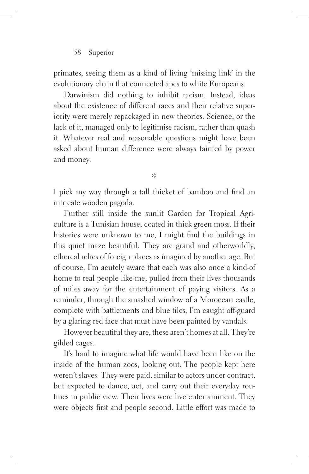primates, seeing them as a kind of living 'missing link' in the evolutionary chain that connected apes to white Europeans.

Darwinism did nothing to inhibit racism. Instead, ideas about the existence of different races and their relative superiority were merely repackaged in new theories. Science, or the lack of it, managed only to legitimise racism, rather than quash it. Whatever real and reasonable questions might have been asked about human difference were always tainted by power and money.

\*

I pick my way through a tall thicket of bamboo and find an intricate wooden pagoda.

Further still inside the sunlit Garden for Tropical Agriculture is a Tunisian house, coated in thick green moss. If their histories were unknown to me, I might find the buildings in this quiet maze beautiful. They are grand and otherworldly, ethereal relics of foreign places as imagined by another age. But of course, I'm acutely aware that each was also once a kind-of home to real people like me, pulled from their lives thousands of miles away for the entertainment of paying visitors. As a reminder, through the smashed window of a Moroccan castle, complete with battlements and blue tiles, I'm caught off-guard by a glaring red face that must have been painted by vandals.

However beautiful they are, these aren't homes at all. They're gilded cages.

It's hard to imagine what life would have been like on the inside of the human zoos, looking out. The people kept here weren't slaves. They were paid, similar to actors under contract, but expected to dance, act, and carry out their everyday routines in public view. Their lives were live entertainment. They were objects first and people second. Little effort was made to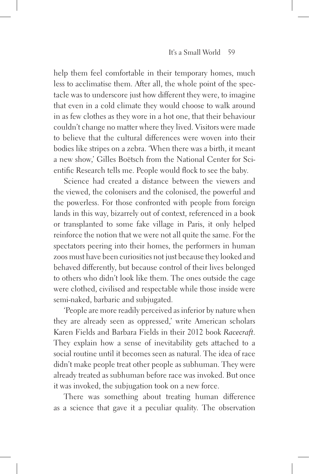#### It's a Small World 59

help them feel comfortable in their temporary homes, much less to acclimatise them. After all, the whole point of the spectacle was to underscore just how different they were, to imagine that even in a cold climate they would choose to walk around in as few clothes as they wore in a hot one, that their behaviour couldn't change no matter where they lived. Visitors were made to believe that the cultural differences were woven into their bodies like stripes on a zebra. 'When there was a birth, it meant a new show,' Gilles Boëtsch from the National Center for Scientific Research tells me. People would flock to see the baby.

Science had created a distance between the viewers and the viewed, the colonisers and the colonised, the powerful and the powerless. For those confronted with people from foreign lands in this way, bizarrely out of context, referenced in a book or transplanted to some fake village in Paris, it only helped reinforce the notion that we were not all quite the same. For the spectators peering into their homes, the performers in human zoos must have been curiosities not just because they looked and behaved differently, but because control of their lives belonged to others who didn't look like them. The ones outside the cage were clothed, civilised and respectable while those inside were semi-naked, barbaric and subjugated.

'People are more readily perceived as inferior by nature when they are already seen as oppressed,' write American scholars Karen Fields and Barbara Fields in their 2012 book *Racecraft*. They explain how a sense of inevitability gets attached to a social routine until it becomes seen as natural. The idea of race didn't make people treat other people as subhuman. They were already treated as subhuman before race was invoked. But once it was invoked, the subjugation took on a new force.

There was something about treating human difference as a science that gave it a peculiar quality. The observation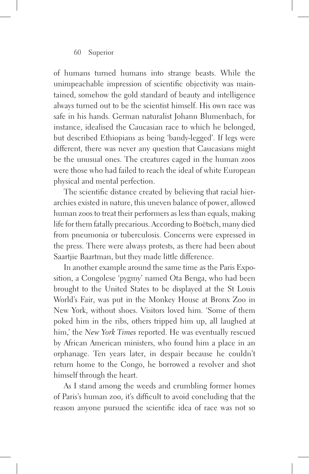of humans turned humans into strange beasts. While the unimpeachable impression of scientific objectivity was maintained, somehow the gold standard of beauty and intelligence always turned out to be the scientist himself. His own race was safe in his hands. German naturalist Johann Blumenbach, for instance, idealised the Caucasian race to which he belonged, but described Ethiopians as being 'bandy-legged'. If legs were different, there was never any question that Caucasians might be the unusual ones. The creatures caged in the human zoos were those who had failed to reach the ideal of white European physical and mental perfection.

The scientific distance created by believing that racial hierarchies existed in nature, this uneven balance of power, allowed human zoos to treat their performers as less than equals, making life for them fatally precarious. According to Boëtsch, many died from pneumonia or tuberculosis. Concerns were expressed in the press. There were always protests, as there had been about Saartjie Baartman, but they made little difference.

In another example around the same time as the Paris Exposition, a Congolese 'pygmy' named Ota Benga, who had been brought to the United States to be displayed at the St Louis World's Fair, was put in the Monkey House at Bronx Zoo in New York, without shoes. Visitors loved him. 'Some of them poked him in the ribs, others tripped him up, all laughed at him,' the *New York Times* reported. He was eventually rescued by African American ministers, who found him a place in an orphanage. Ten years later, in despair because he couldn't return home to the Congo, he borrowed a revolver and shot himself through the heart.

As I stand among the weeds and crumbling former homes of Paris's human zoo, it's difficult to avoid concluding that the reason anyone pursued the scientific idea of race was not so